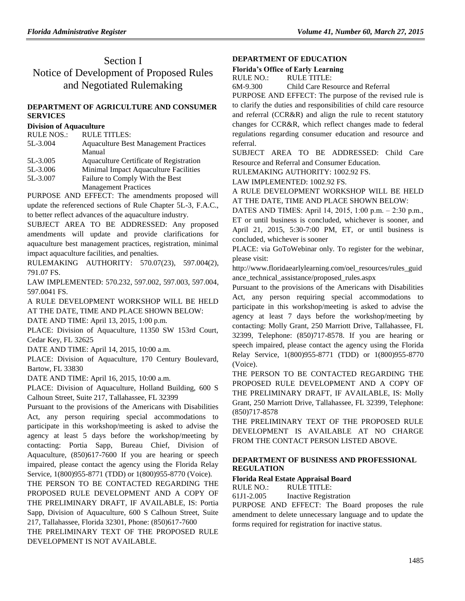# Section I Notice of Development of Proposed Rules and Negotiated Rulemaking

### **[DEPARTMENT OF AGRICULTURE AND CONSUMER](https://www.flrules.org/gateway/department.asp?id=5)  [SERVICES](https://www.flrules.org/gateway/department.asp?id=5)**

#### **[Division of Aquaculture](https://www.flrules.org/gateway/organization.asp?id=172)**

| 5L-3.004<br><b>Aquaculture Best Management Practices</b> |  |
|----------------------------------------------------------|--|
| Manual                                                   |  |
| Aquaculture Certificate of Registration<br>5L-3.005      |  |
| Minimal Impact Aquaculture Facilities<br>5L-3.006        |  |
| 5L-3.007<br>Failure to Comply With the Best              |  |
| <b>Management Practices</b>                              |  |

PURPOSE AND EFFECT: The amendments proposed will update the referenced sections of Rule Chapter 5L-3, F.A.C., to better reflect advances of the aquaculture industry.

SUBJECT AREA TO BE ADDRESSED: Any proposed amendments will update and provide clarifications for aquaculture best management practices, registration, minimal impact aquaculture facilities, and penalties.

RULEMAKING AUTHORITY: [570.07\(23\),](https://www.flrules.org/gateway/statute.asp?id=570.07(23)%20F.S.) [597.004\(2\),](https://www.flrules.org/gateway/statute.asp?id=%20597.004(2)%20F.S.) [791.07 FS.](https://www.flrules.org/gateway/cfr.asp?id=%20791.07%20F.S)

LAW IMPLEMENTED: [570.232,](https://www.flrules.org/gateway/statute.asp?id=570.232%20F.S.) [597.002,](https://www.flrules.org/gateway/statute.asp?id=%20597.002%20F.S.) [597.003,](https://www.flrules.org/gateway/statute.asp?id=%20597.003%20F.S.) [597.004,](https://www.flrules.org/gateway/statute.asp?id=%20597.004%20F.S.) [597.0041 FS.](https://www.flrules.org/gateway/statute.asp?id=%20597.0041%20F.S.)

A RULE DEVELOPMENT WORKSHOP WILL BE HELD AT THE DATE, TIME AND PLACE SHOWN BELOW:

DATE AND TIME: April 13, 2015, 1:00 p.m.

PLACE: Division of Aquaculture, 11350 SW 153rd Court, Cedar Key, FL 32625

DATE AND TIME: April 14, 2015, 10:00 a.m.

PLACE: Division of Aquaculture, 170 Century Boulevard, Bartow, FL 33830

DATE AND TIME: April 16, 2015, 10:00 a.m.

PLACE: Division of Aquaculture, Holland Building, 600 S Calhoun Street, Suite 217, Tallahassee, FL 32399

Pursuant to the provisions of the Americans with Disabilities Act, any person requiring special accommodations to participate in this workshop/meeting is asked to advise the agency at least 5 days before the workshop/meeting by contacting: Portia Sapp, Bureau Chief, Division of Aquaculture, (850)617-7600 If you are hearing or speech impaired, please contact the agency using the Florida Relay Service, 1(800)955-8771 (TDD) or 1(800)955-8770 (Voice).

THE PERSON TO BE CONTACTED REGARDING THE PROPOSED RULE DEVELOPMENT AND A COPY OF THE PRELIMINARY DRAFT, IF AVAILABLE, IS: Portia Sapp, Division of Aquaculture, 600 S Calhoun Street, Suite 217, Tallahassee, Florida 32301, Phone: (850)617-7600

THE PRELIMINARY TEXT OF THE PROPOSED RULE DEVELOPMENT IS NOT AVAILABLE.

### **[DEPARTMENT OF EDUCATION](https://www.flrules.org/gateway/department.asp?id=6)**

### **[Florida's Office of Early Learning](https://www.flrules.org/gateway/organization.asp?id=1044)**

RULE NO.: RULE TITLE: [6M-9.300](https://www.flrules.org/gateway/ruleNo.asp?id=6M-9.300) Child Care Resource and Referral

PURPOSE AND EFFECT: The purpose of the revised rule is to clarify the duties and responsibilities of child care resource and referral (CCR&R) and align the rule to recent statutory changes for CCR&R, which reflect changes made to federal regulations regarding consumer education and resource and referral.

SUBJECT AREA TO BE ADDRESSED: Child Care Resource and Referral and Consumer Education.

RULEMAKING AUTHORITY: [1002.92 FS.](https://www.flrules.org/gateway/cfr.asp?id=1002.92)

LAW IMPLEMENTED: [1002.92 FS.](https://www.flrules.org/gateway/cfr.asp?id=1002.92)

A RULE DEVELOPMENT WORKSHOP WILL BE HELD AT THE DATE, TIME AND PLACE SHOWN BELOW:

DATES AND TIMES: April 14, 2015, 1:00 p.m. ‒ 2:30 p.m., ET or until business is concluded, whichever is sooner, and April 21, 2015, 5:30-7:00 PM, ET, or until business is concluded, whichever is sooner

PLACE: via GoToWebinar only. To register for the webinar, please visit:

http://www.floridaearlylearning.com/oel\_resources/rules\_guid ance\_technical\_assistance/proposed\_rules.aspx

Pursuant to the provisions of the Americans with Disabilities Act, any person requiring special accommodations to participate in this workshop/meeting is asked to advise the agency at least 7 days before the workshop/meeting by contacting: Molly Grant, 250 Marriott Drive, Tallahassee, FL 32399, Telephone: (850)717-8578. If you are hearing or speech impaired, please contact the agency using the Florida Relay Service, 1(800)955-8771 (TDD) or 1(800)955-8770 (Voice).

THE PERSON TO BE CONTACTED REGARDING THE PROPOSED RULE DEVELOPMENT AND A COPY OF THE PRELIMINARY DRAFT, IF AVAILABLE, IS: Molly Grant, 250 Marriott Drive, Tallahassee, FL 32399, Telephone: (850)717-8578

THE PRELIMINARY TEXT OF THE PROPOSED RULE DEVELOPMENT IS AVAILABLE AT NO CHARGE FROM THE CONTACT PERSON LISTED ABOVE.

## **[DEPARTMENT OF BUSINESS AND PROFESSIONAL](https://www.flrules.org/gateway/department.asp?id=61)  [REGULATION](https://www.flrules.org/gateway/department.asp?id=61)**

## **[Florida Real Estate Appraisal Board](https://www.flrules.org/gateway/organization.asp?id=282)**

RULE NO.: RULE TITLE:

[61J1-2.005](https://www.flrules.org/gateway/ruleNo.asp?id=61J1-2.005) Inactive Registration

PURPOSE AND EFFECT: The Board proposes the rule amendment to delete unnecessary language and to update the forms required for registration for inactive status.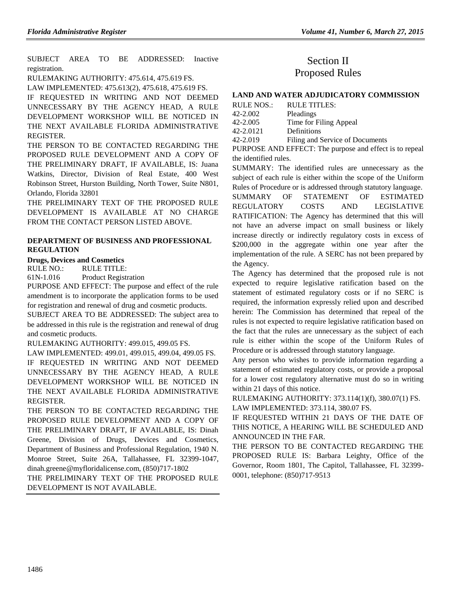SUBJECT AREA TO BE ADDRESSED: Inactive registration.

RULEMAKING AUTHORITY: [475.614,](https://www.flrules.org/gateway/statute.asp?id=475.614) [475.619 FS.](https://www.flrules.org/gateway/statute.asp?id=%20475.619%20FS.)

LAW IMPLEMENTED: [475.613\(2\),](https://www.flrules.org/gateway/statute.asp?id=475.613(2)) [475.618,](https://www.flrules.org/gateway/statute.asp?id=%20475.618) [475.619 FS.](https://www.flrules.org/gateway/statute.asp?id=%20475.619%20FS.)

IF REQUESTED IN WRITING AND NOT DEEMED UNNECESSARY BY THE AGENCY HEAD, A RULE DEVELOPMENT WORKSHOP WILL BE NOTICED IN THE NEXT AVAILABLE FLORIDA ADMINISTRATIVE REGISTER.

THE PERSON TO BE CONTACTED REGARDING THE PROPOSED RULE DEVELOPMENT AND A COPY OF THE PRELIMINARY DRAFT, IF AVAILABLE, IS: Juana Watkins, Director, Division of Real Estate, 400 West Robinson Street, Hurston Building, North Tower, Suite N801, Orlando, Florida 32801

THE PRELIMINARY TEXT OF THE PROPOSED RULE DEVELOPMENT IS AVAILABLE AT NO CHARGE FROM THE CONTACT PERSON LISTED ABOVE.

#### **[DEPARTMENT OF BUSINESS AND PROFESSIONAL](https://www.flrules.org/gateway/department.asp?id=61)  [REGULATION](https://www.flrules.org/gateway/department.asp?id=61)**

### **[Drugs, Devices and Cosmetics](https://www.flrules.org/gateway/organization.asp?id=1057)**

RULE NO.: RULE TITLE:

[61N-1.016](https://www.flrules.org/gateway/ruleNo.asp?id=61N-1.016) Product Registration

PURPOSE AND EFFECT: The purpose and effect of the rule amendment is to incorporate the application forms to be used for registration and renewal of drug and cosmetic products.

SUBJECT AREA TO BE ADDRESSED: The subject area to be addressed in this rule is the registration and renewal of drug and cosmetic products.

RULEMAKING AUTHORITY: [499.015, 499.05 FS.](https://www.flrules.org/gateway/cfr.asp?id=499.015,%20499.05%20FS)

LAW IMPLEMENTED: [499.01, 499.015, 499.04, 499.05 FS.](https://www.flrules.org/gateway/cfr.asp?id=499.01,%20499.015,%20499.04,%20499.05%20FS)

IF REQUESTED IN WRITING AND NOT DEEMED UNNECESSARY BY THE AGENCY HEAD, A RULE DEVELOPMENT WORKSHOP WILL BE NOTICED IN THE NEXT AVAILABLE FLORIDA ADMINISTRATIVE REGISTER.

THE PERSON TO BE CONTACTED REGARDING THE PROPOSED RULE DEVELOPMENT AND A COPY OF THE PRELIMINARY DRAFT, IF AVAILABLE, IS: Dinah Greene, Division of Drugs, Devices and Cosmetics, Department of Business and Professional Regulation, 1940 N. Monroe Street, Suite 26A, Tallahassee, FL 32399-1047, dinah.greene@myfloridalicense.com, (850)717-1802

THE PRELIMINARY TEXT OF THE PROPOSED RULE DEVELOPMENT IS NOT AVAILABLE.

# Section II Proposed Rules

### **[LAND AND WATER ADJUDICATORY COMMISSION](https://www.flrules.org/gateway/department.asp?id=42)**

| RULE NOS.: | <b>RULE TITLES:</b>             |
|------------|---------------------------------|
| 42-2.002   | Pleadings                       |
| 42-2.005   | Time for Filing Appeal          |
| 42-2.0121  | Definitions                     |
| 42-2.019   | Filing and Service of Documents |

PURPOSE AND EFFECT: The purpose and effect is to repeal the identified rules.

SUMMARY: The identified rules are unnecessary as the subject of each rule is either within the scope of the Uniform Rules of Procedure or is addressed through statutory language. SUMMARY OF STATEMENT OF ESTIMATED REGULATORY COSTS AND LEGISLATIVE RATIFICATION: The Agency has determined that this will not have an adverse impact on small business or likely increase directly or indirectly regulatory costs in excess of \$200,000 in the aggregate within one year after the implementation of the rule. A SERC has not been prepared by the Agency.

The Agency has determined that the proposed rule is not expected to require legislative ratification based on the statement of estimated regulatory costs or if no SERC is required, the information expressly relied upon and described herein: The Commission has determined that repeal of the rules is not expected to require legislative ratification based on the fact that the rules are unnecessary as the subject of each rule is either within the scope of the Uniform Rules of Procedure or is addressed through statutory language.

Any person who wishes to provide information regarding a statement of estimated regulatory costs, or provide a proposal for a lower cost regulatory alternative must do so in writing within 21 days of this notice.

RULEMAKING AUTHORITY: [373.114\(1\)\(f\), 380.07\(1\) FS.](https://www.flrules.org/gateway/cfr.asp?id=373.114(1)(f),%20380.07(1),%20FS) LAW IMPLEMENTED: [373.114, 380.07 FS.](https://www.flrules.org/gateway/cfr.asp?id=373.114,%20380.07,%20FS)

IF REQUESTED WITHIN 21 DAYS OF THE DATE OF THIS NOTICE, A HEARING WILL BE SCHEDULED AND ANNOUNCED IN THE FAR.

THE PERSON TO BE CONTACTED REGARDING THE PROPOSED RULE IS: Barbara Leighty, Office of the Governor, Room 1801, The Capitol, Tallahassee, FL 32399- 0001, telephone: (850)717-9513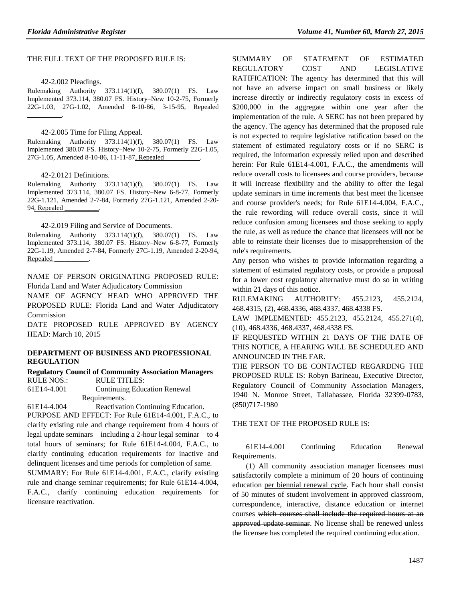#### THE FULL TEXT OF THE PROPOSED RULE IS:

42-2.002 Pleadings.

Rulemaking Authority 373.114(1)(f), 380.07(1) FS. Law Implemented 373.114, 380.07 FS. History–New 10-2-75, Formerly 22G-1.03, 27G-1.02, Amended 8-10-86, 3-15-95, Repealed  $\frac{1}{2}$  and  $\frac{1}{2}$  and  $\frac{1}{2}$ 

42-2.005 Time for Filing Appeal.

Rulemaking Authority 373.114(1)(f), 380.07(1) FS. Law Implemented 380.07 FS. History–New 10-2-75, Formerly 22G-1.05, 27G-1.05, Amended 8-10-86, 11-11-87, Repealed

42-2.0121 Definitions.

Rulemaking Authority 373.114(1)(f), 380.07(1) FS. Law Implemented 373.114, 380.07 FS. History–New 6-8-77, Formerly 22G-1.121, Amended 2-7-84, Formerly 27G-1.121, Amended 2-20- 94, Repealed

42-2.019 Filing and Service of Documents.

Rulemaking Authority 373.114(1)(f), 380.07(1) FS. Law Implemented 373.114, 380.07 FS. History–New 6-8-77, Formerly 22G-1.19, Amended 2-7-84, Formerly 27G-1.19, Amended 2-20-94, Repealed \_\_\_\_\_\_\_\_\_\_.

NAME OF PERSON ORIGINATING PROPOSED RULE: Florida Land and Water Adjudicatory Commission

NAME OF AGENCY HEAD WHO APPROVED THE PROPOSED RULE: Florida Land and Water Adjudicatory Commission

DATE PROPOSED RULE APPROVED BY AGENCY HEAD: March 10, 2015

#### **[DEPARTMENT OF BUSINESS AND PROFESSIONAL](file://dossdlisstore/gateway/department.asp%3fid=61)  [REGULATION](file://dossdlisstore/gateway/department.asp%3fid=61)**

**[Regulatory Council of Community Association Managers](file://dossdlisstore/gateway/organization.asp%3fid=835)** RULE NOS.: RULE TITLES:

61E14-4.001 Continuing Education Renewal Requirements.

61E14-4.004 Reactivation Continuing Education. PURPOSE AND EFFECT: For Rule 61E14-4.001, F.A.C., to clarify existing rule and change requirement from 4 hours of legal update seminars – including a 2-hour legal seminar – to 4 total hours of seminars; for Rule 61E14-4.004, F.A.C., to

clarify continuing education requirements for inactive and delinquent licenses and time periods for completion of same.

SUMMARY: For Rule 61E14-4.001, F.A.C., clarify existing rule and change seminar requirements; for Rule 61E14-4.004, F.A.C., clarify continuing education requirements for licensure reactivation.

SUMMARY OF STATEMENT OF ESTIMATED REGULATORY COST AND LEGISLATIVE RATIFICATION: The agency has determined that this will not have an adverse impact on small business or likely increase directly or indirectly regulatory costs in excess of \$200,000 in the aggregate within one year after the implementation of the rule. A SERC has not been prepared by the agency. The agency has determined that the proposed rule is not expected to require legislative ratification based on the statement of estimated regulatory costs or if no SERC is required, the information expressly relied upon and described herein: For Rule 61E14-4.001, F.A.C., the amendments will reduce overall costs to licensees and course providers, because it will increase flexibility and the ability to offer the legal update seminars in time increments that best meet the licensee and course provider's needs; for Rule 61E14-4.004, F.A.C., the rule rewording will reduce overall costs, since it will reduce confusion among licensees and those seeking to apply the rule, as well as reduce the chance that licensees will not be able to reinstate their licenses due to misapprehension of the rule's requirements.

Any person who wishes to provide information regarding a statement of estimated regulatory costs, or provide a proposal for a lower cost regulatory alternative must do so in writing within 21 days of this notice.

RULEMAKING AUTHORITY: 455.2123, 455.2124, 468.4315, (2), 468.4336, 468.4337, 468.4338 FS.

LAW IMPLEMENTED: 455.2123, 455.2124, 455.271(4), (10), 468.4336, 468.4337, 468.4338 FS.

IF REQUESTED WITHIN 21 DAYS OF THE DATE OF THIS NOTICE, A HEARING WILL BE SCHEDULED AND ANNOUNCED IN THE FAR.

THE PERSON TO BE CONTACTED REGARDING THE PROPOSED RULE IS: Robyn Barineau, Executive Director, Regulatory Council of Community Association Managers, 1940 N. Monroe Street, Tallahassee, Florida 32399-0783, (850)717-1980

#### THE TEXT OF THE PROPOSED RULE IS:

61E14-4.001 Continuing Education Renewal Requirements.

(1) All community association manager licensees must satisfactorily complete a minimum of 20 hours of continuing education per biennial renewal cycle. Each hour shall consist of 50 minutes of student involvement in approved classroom, correspondence, interactive, distance education or internet courses which courses shall include the required hours at an approved update seminar. No license shall be renewed unless the licensee has completed the required continuing education.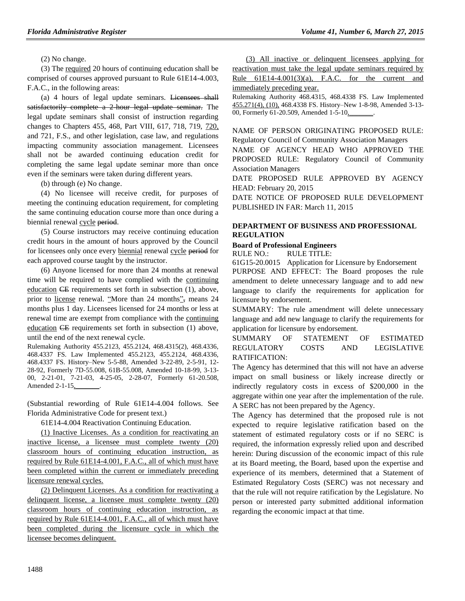(2) No change.

(3) The required 20 hours of continuing education shall be comprised of courses approved pursuant to Rule 61E14-4.003, F.A.C., in the following areas:

(a) 4 hours of legal update seminars. Licensees shall satisfactorily complete a 2-hour legal update seminar. The legal update seminars shall consist of instruction regarding changes to Chapters 455, 468, Part VIII, 617, 718, 719, 720, and 721, F.S., and other legislation, case law, and regulations impacting community association management. Licensees shall not be awarded continuing education credit for completing the same legal update seminar more than once even if the seminars were taken during different years.

(b) through (e) No change.

(4) No licensee will receive credit, for purposes of meeting the continuing education requirement, for completing the same continuing education course more than once during a biennial renewal cycle period.

(5) Course instructors may receive continuing education credit hours in the amount of hours approved by the Council for licensees only once every biennial renewal cycle period for each approved course taught by the instructor.

(6) Anyone licensed for more than 24 months at renewal time will be required to have complied with the continuing education CE requirements set forth in subsection (1), above, prior to license renewal. "More than 24 months", means 24 months plus 1 day. Licensees licensed for 24 months or less at renewal time are exempt from compliance with the continuing education CE requirements set forth in subsection (1) above, until the end of the next renewal cycle.

Rulemaking Authority 455.2123, 455.2124, 468.4315(2), 468.4336, 468.4337 FS. Law Implemented 455.2123, 455.2124, 468.4336, 468.4337 FS. History–New 5-5-88, Amended 3-22-89, 2-5-91, 12- 28-92, Formerly 7D-55.008, 61B-55.008, Amended 10-18-99, 3-13- 00, 2-21-01, 7-21-03, 4-25-05, 2-28-07, Formerly 61-20.508, Amended 2-1-15,\_\_\_\_\_\_\_.

(Substantial rewording of Rule 61E14-4.004 follows. See Florida Administrative Code for present text.)

61E14-4.004 Reactivation Continuing Education.

(1) Inactive Licenses. As a condition for reactivating an inactive license, a licensee must complete twenty (20) classroom hours of continuing education instruction, as required by Rule 61E14-4.001, F.A.C., all of which must have been completed within the current or immediately preceding licensure renewal cycles.

(2) Delinquent Licenses. As a condition for reactivating a delinquent license, a licensee must complete twenty (20) classroom hours of continuing education instruction, as required by Rule 61E14-4.001, F.A.C., all of which must have been completed during the licensure cycle in which the licensee becomes delinquent.

(3) All inactive or delinquent licensees applying for reactivation must take the legal update seminars required by Rule  $61E14-4.001(3)(a)$ , F.A.C. for the current and immediately preceding year.

Rulemaking Authority 468.4315, 468.4338 FS. Law Implemented 455.271(4), (10), 468.4338 FS. History–New 1-8-98, Amended 3-13- 00, Formerly 61-20.509, Amended 1-5-10,

NAME OF PERSON ORIGINATING PROPOSED RULE: Regulatory Council of Community Association Managers

NAME OF AGENCY HEAD WHO APPROVED THE PROPOSED RULE: Regulatory Council of Community Association Managers

DATE PROPOSED RULE APPROVED BY AGENCY HEAD: February 20, 2015

DATE NOTICE OF PROPOSED RULE DEVELOPMENT PUBLISHED IN FAR: March 11, 2015

#### **[DEPARTMENT OF BUSINESS](https://www.flrules.org/gateway/department.asp?id=61) AND PROFESSIONAL [REGULATION](https://www.flrules.org/gateway/department.asp?id=61)**

## **[Board of Professional Engineers](https://www.flrules.org/gateway/organization.asp?id=267)**

RULE NO.: RULE TITLE:

[61G15-20.0015](https://www.flrules.org/gateway/ruleNo.asp?id=61G15-20.0015) Application for Licensure by Endorsement PURPOSE AND EFFECT: The Board proposes the rule amendment to delete unnecessary language and to add new language to clarify the requirements for application for licensure by endorsement.

SUMMARY: The rule amendment will delete unnecessary language and add new language to clarify the requirements for application for licensure by endorsement.

SUMMARY OF STATEMENT OF ESTIMATED REGULATORY COSTS AND LEGISLATIVE RATIFICATION:

The Agency has determined that this will not have an adverse impact on small business or likely increase directly or indirectly regulatory costs in excess of \$200,000 in the aggregate within one year after the implementation of the rule. A SERC has not been prepared by the Agency.

The Agency has determined that the proposed rule is not expected to require legislative ratification based on the statement of estimated regulatory costs or if no SERC is required, the information expressly relied upon and described herein: During discussion of the economic impact of this rule at its Board meeting, the Board, based upon the expertise and experience of its members, determined that a Statement of Estimated Regulatory Costs (SERC) was not necessary and that the rule will not require ratification by the Legislature. No person or interested party submitted additional information regarding the economic impact at that time.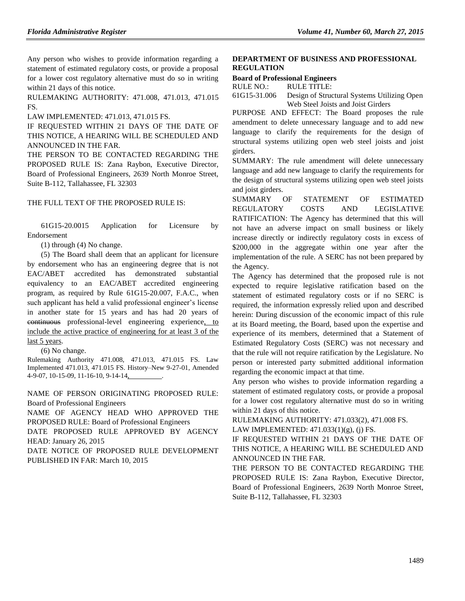Any person who wishes to provide information regarding a statement of estimated regulatory costs, or provide a proposal for a lower cost regulatory alternative must do so in writing within 21 days of this notice.

RULEMAKING AUTHORITY: [471.008,](https://www.flrules.org/gateway/statute.asp?id=471.008) [471.013,](https://www.flrules.org/gateway/statute.asp?id=%20471.013) [471.015](https://www.flrules.org/gateway/statute.asp?id=%20471.015%20FS.)  [FS.](https://www.flrules.org/gateway/statute.asp?id=%20471.015%20FS.)

LAW IMPLEMENTED: [471.013,](https://www.flrules.org/gateway/statute.asp?id=471.013) [471.015 FS.](https://www.flrules.org/gateway/statute.asp?id=%20471.015%20FS.)

IF REQUESTED WITHIN 21 DAYS OF THE DATE OF THIS NOTICE, A HEARING WILL BE SCHEDULED AND ANNOUNCED IN THE FAR.

THE PERSON TO BE CONTACTED REGARDING THE PROPOSED RULE IS: Zana Raybon, Executive Director, Board of Professional Engineers, 2639 North Monroe Street, Suite B-112, Tallahassee, FL 32303

THE FULL TEXT OF THE PROPOSED RULE IS:

61G15-20.0015 Application for Licensure by Endorsement

(1) through (4) No change.

(5) The Board shall deem that an applicant for licensure by endorsement who has an engineering degree that is not EAC/ABET accredited has demonstrated substantial equivalency to an EAC/ABET accredited engineering program, as required by Rule 61G15-20.007, F.A.C., when such applicant has held a valid professional engineer's license in another state for 15 years and has had 20 years of continuous professional-level engineering experience, to include the active practice of engineering for at least 3 of the last 5 years.

(6) No change.

Rulemaking Authority 471.008, 471.013, 471.015 FS. Law Implemented 471.013, 471.015 FS. History–New 9-27-01, Amended 4-9-07, 10-15-09, 11-16-10, 9-14-14, .

NAME OF PERSON ORIGINATING PROPOSED RULE: Board of Professional Engineers NAME OF AGENCY HEAD WHO APPROVED THE PROPOSED RULE: Board of Professional Engineers DATE PROPOSED RULE APPROVED BY AGENCY

HEAD: January 26, 2015 DATE NOTICE OF PROPOSED RULE DEVELOPMENT

PUBLISHED IN FAR: March 10, 2015

## **[DEPARTMENT OF BUSINESS AND PROFESSIONAL](https://www.flrules.org/gateway/department.asp?id=61)  [REGULATION](https://www.flrules.org/gateway/department.asp?id=61)**

#### **[Board of Professional Engineers](https://www.flrules.org/gateway/organization.asp?id=267)**

RULE NO.: RULE TITLE:

[61G15-31.006](https://www.flrules.org/gateway/ruleNo.asp?id=61G15-31.006) Design of Structural Systems Utilizing Open Web Steel Joists and Joist Girders

PURPOSE AND EFFECT: The Board proposes the rule amendment to delete unnecessary language and to add new language to clarify the requirements for the design of structural systems utilizing open web steel joists and joist girders.

SUMMARY: The rule amendment will delete unnecessary language and add new language to clarify the requirements for the design of structural systems utilizing open web steel joists and joist girders.

SUMMARY OF STATEMENT OF ESTIMATED REGULATORY COSTS AND LEGISLATIVE RATIFICATION: The Agency has determined that this will not have an adverse impact on small business or likely increase directly or indirectly regulatory costs in excess of \$200,000 in the aggregate within one year after the implementation of the rule. A SERC has not been prepared by the Agency.

The Agency has determined that the proposed rule is not expected to require legislative ratification based on the statement of estimated regulatory costs or if no SERC is required, the information expressly relied upon and described herein: During discussion of the economic impact of this rule at its Board meeting, the Board, based upon the expertise and experience of its members, determined that a Statement of Estimated Regulatory Costs (SERC) was not necessary and that the rule will not require ratification by the Legislature. No person or interested party submitted additional information regarding the economic impact at that time.

Any person who wishes to provide information regarding a statement of estimated regulatory costs, or provide a proposal for a lower cost regulatory alternative must do so in writing within 21 days of this notice.

RULEMAKING AUTHORITY: [471.033\(2\),](https://www.flrules.org/gateway/statute.asp?id=471.033(2)) [471.008 FS.](https://www.flrules.org/gateway/statute.asp?id=%20471.008%20FS.) LAW IMPLEMENTED: [471.033\(1\)\(g\),](https://www.flrules.org/gateway/statute.asp?id=471.033(1)(g)) (j) FS.

IF REQUESTED WITHIN 21 DAYS OF THE DATE OF THIS NOTICE, A HEARING WILL BE SCHEDULED AND ANNOUNCED IN THE FAR.

THE PERSON TO BE CONTACTED REGARDING THE PROPOSED RULE IS: Zana Raybon, Executive Director, Board of Professional Engineers, 2639 North Monroe Street, Suite B-112, Tallahassee, FL 32303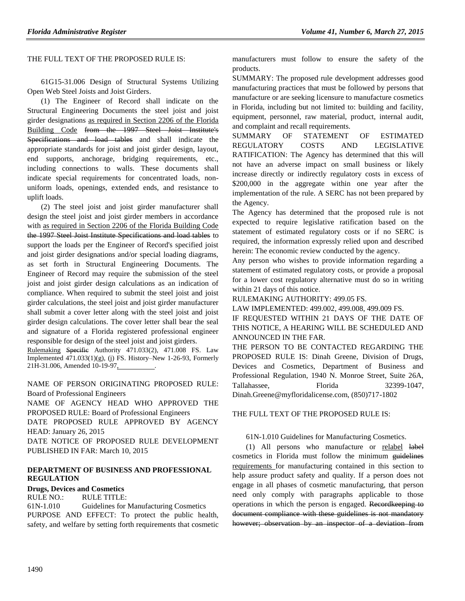### THE FULL TEXT OF THE PROPOSED RULE IS:

61G15-31.006 Design of Structural Systems Utilizing Open Web Steel Joists and Joist Girders.

(1) The Engineer of Record shall indicate on the Structural Engineering Documents the steel joist and joist girder designations as required in Section 2206 of the Florida Building Code from the 1997 Steel Joist Institute's Specifications and load tables and shall indicate the appropriate standards for joist and joist girder design, layout, end supports, anchorage, bridging requirements, etc., including connections to walls. These documents shall indicate special requirements for concentrated loads, nonuniform loads, openings, extended ends, and resistance to uplift loads.

(2) The steel joist and joist girder manufacturer shall design the steel joist and joist girder members in accordance with as required in Section 2206 of the Florida Building Code the 1997 Steel Joist Institute Specifications and load tables to support the loads per the Engineer of Record's specified joist and joist girder designations and/or special loading diagrams, as set forth in Structural Engineering Documents. The Engineer of Record may require the submission of the steel joist and joist girder design calculations as an indication of compliance. When required to submit the steel joist and joist girder calculations, the steel joist and joist girder manufacturer shall submit a cover letter along with the steel joist and joist girder design calculations. The cover letter shall bear the seal and signature of a Florida registered professional engineer responsible for design of the steel joist and joist girders.

Rulemaking Specific Authority 471.033(2), 471.008 FS. Law Implemented 471.033(1)(g), (j) FS. History–New 1-26-93, Formerly 21H-31.006, Amended 10-19-97,

NAME OF PERSON ORIGINATING PROPOSED RULE: Board of Professional Engineers

NAME OF AGENCY HEAD WHO APPROVED THE PROPOSED RULE: Board of Professional Engineers DATE PROPOSED RULE APPROVED BY AGENCY HEAD: January 26, 2015 DATE NOTICE OF PROPOSED RULE DEVELOPMENT PUBLISHED IN FAR: March 10, 2015

#### **[DEPARTMENT OF BUSINESS AND PROFESSIONAL](https://www.flrules.org/gateway/department.asp?id=61)  [REGULATION](https://www.flrules.org/gateway/department.asp?id=61)**

## **[Drugs, Devices and Cosmetics](https://www.flrules.org/gateway/organization.asp?id=1057)**

RULE NO.: RULE TITLE:

[61N-1.010](https://www.flrules.org/gateway/ruleNo.asp?id=61N-1.010) Guidelines for Manufacturing Cosmetics PURPOSE AND EFFECT: To protect the public health, safety, and welfare by setting forth requirements that cosmetic manufacturers must follow to ensure the safety of the products.

SUMMARY: The proposed rule development addresses good manufacturing practices that must be followed by persons that manufacture or are seeking licensure to manufacture cosmetics in Florida, including but not limited to: building and facility, equipment, personnel, raw material, product, internal audit, and complaint and recall requirements.

SUMMARY OF STATEMENT OF ESTIMATED REGULATORY COSTS AND LEGISLATIVE RATIFICATION: The Agency has determined that this will not have an adverse impact on small business or likely increase directly or indirectly regulatory costs in excess of \$200,000 in the aggregate within one year after the implementation of the rule. A SERC has not been prepared by the Agency.

The Agency has determined that the proposed rule is not expected to require legislative ratification based on the statement of estimated regulatory costs or if no SERC is required, the information expressly relied upon and described herein: The economic review conducted by the agency.

Any person who wishes to provide information regarding a statement of estimated regulatory costs, or provide a proposal for a lower cost regulatory alternative must do so in writing within 21 days of this notice.

RULEMAKING AUTHORITY: [499.05](https://www.flrules.org/gateway/statute.asp?id=499.05) FS.

LAW IMPLEMENTED: [499.002,](https://www.flrules.org/gateway/statute.asp?id=499.002) [499.008,](https://www.flrules.org/gateway/statute.asp?id=%20499.008) [499.009](https://www.flrules.org/gateway/statute.asp?id=%20499.009) FS.

IF REQUESTED WITHIN 21 DAYS OF THE DATE OF THIS NOTICE, A HEARING WILL BE SCHEDULED AND ANNOUNCED IN THE FAR.

THE PERSON TO BE CONTACTED REGARDING THE PROPOSED RULE IS: Dinah Greene, Division of Drugs, Devices and Cosmetics, Department of Business and Professional Regulation, 1940 N. Monroe Street, Suite 26A, Tallahassee, Florida 32399-1047, Dinah.Greene@myfloridalicense.com, (850)717-1802

THE FULL TEXT OF THE PROPOSED RULE IS:

#### 61N-1.010 Guidelines for Manufacturing Cosmetics.

(1) All persons who manufacture or relabel label cosmetics in Florida must follow the minimum guidelines requirements for manufacturing contained in this section to help assure product safety and quality. If a person does not engage in all phases of cosmetic manufacturing, that person need only comply with paragraphs applicable to those operations in which the person is engaged. Recordkeeping to document compliance with these guidelines is not mandatory however; observation by an inspector of a deviation from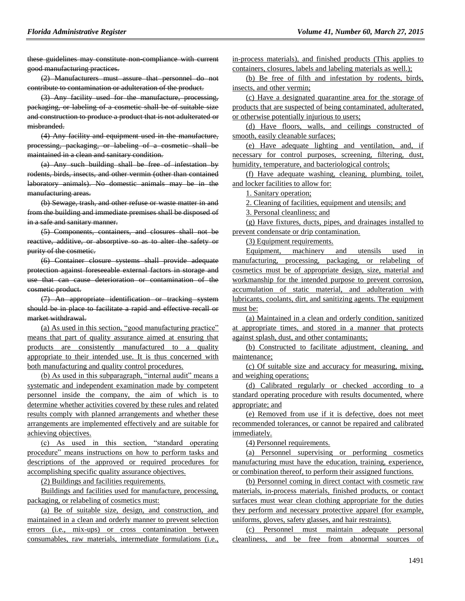these guidelines may constitute non-compliance with current good manufacturing practices.

(2) Manufacturers must assure that personnel do not contribute to contamination or adulteration of the product.

(3) Any facility used for the manufacture, processing, packaging, or labeling of a cosmetic shall be of suitable size and construction to produce a product that is not adulterated or misbranded.

(4) Any facility and equipment used in the manufacture, processing, packaging, or labeling of a cosmetic shall be maintained in a clean and sanitary condition.

(a) Any such building shall be free of infestation by rodents, birds, insects, and other vermin (other than contained laboratory animals). No domestic animals may be in the manufacturing areas.

(b) Sewage, trash, and other refuse or waste matter in and from the building and immediate premises shall be disposed of in a safe and sanitary manner.

(5) Components, containers, and closures shall not be reactive, additive, or absorptive so as to alter the safety or purity of the cosmetic.

(6) Container closure systems shall provide adequate protection against foreseeable external factors in storage and use that can cause deterioration or contamination of the cosmetic product.

(7) An appropriate identification or tracking system should be in place to facilitate a rapid and effective recall or market withdrawal.

(a) As used in this section, "good manufacturing practice" means that part of quality assurance aimed at ensuring that products are consistently manufactured to a quality appropriate to their intended use. It is thus concerned with both manufacturing and quality control procedures.

(b) As used in this subparagraph, "internal audit" means a systematic and independent examination made by competent personnel inside the company, the aim of which is to determine whether activities covered by these rules and related results comply with planned arrangements and whether these arrangements are implemented effectively and are suitable for achieving objectives.

(c) As used in this section, "standard operating procedure" means instructions on how to perform tasks and descriptions of the approved or required procedures for accomplishing specific quality assurance objectives.

(2) Buildings and facilities requirements.

Buildings and facilities used for manufacture, processing, packaging, or relabeling of cosmetics must:

(a) Be of suitable size, design, and construction, and maintained in a clean and orderly manner to prevent selection errors (i.e., mix-ups) or cross contamination between consumables, raw materials, intermediate formulations (i.e., in-process materials), and finished products (This applies to containers, closures, labels and labeling materials as well.);

(b) Be free of filth and infestation by rodents, birds, insects, and other vermin;

(c) Have a designated quarantine area for the storage of products that are suspected of being contaminated, adulterated, or otherwise potentially injurious to users;

(d) Have floors, walls, and ceilings constructed of smooth, easily cleanable surfaces;

(e) Have adequate lighting and ventilation, and, if necessary for control purposes, screening, filtering, dust, humidity, temperature, and bacteriological controls;

(f) Have adequate washing, cleaning, plumbing, toilet, and locker facilities to allow for:

1. Sanitary operation;

2. Cleaning of facilities, equipment and utensils; and

3. Personal cleanliness; and

(g) Have fixtures, ducts, pipes, and drainages installed to prevent condensate or drip contamination.

(3) Equipment requirements.

Equipment, machinery and utensils used in manufacturing, processing, packaging, or relabeling of cosmetics must be of appropriate design, size, material and workmanship for the intended purpose to prevent corrosion, accumulation of static material, and adulteration with lubricants, coolants, dirt, and sanitizing agents. The equipment must be:

(a) Maintained in a clean and orderly condition, sanitized at appropriate times, and stored in a manner that protects against splash, dust, and other contaminants;

(b) Constructed to facilitate adjustment, cleaning, and maintenance;

(c) Of suitable size and accuracy for measuring, mixing, and weighing operations;

(d) Calibrated regularly or checked according to a standard operating procedure with results documented, where appropriate; and

(e) Removed from use if it is defective, does not meet recommended tolerances, or cannot be repaired and calibrated immediately.

(4) Personnel requirements.

(a) Personnel supervising or performing cosmetics manufacturing must have the education, training, experience, or combination thereof, to perform their assigned functions.

(b) Personnel coming in direct contact with cosmetic raw materials, in-process materials, finished products, or contact surfaces must wear clean clothing appropriate for the duties they perform and necessary protective apparel (for example, uniforms, gloves, safety glasses, and hair restraints).

(c) Personnel must maintain adequate personal cleanliness, and be free from abnormal sources of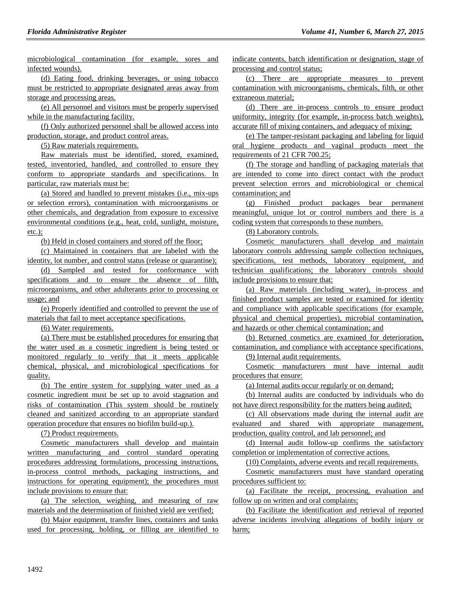microbiological contamination (for example, sores and infected wounds).

(d) Eating food, drinking beverages, or using tobacco must be restricted to appropriate designated areas away from storage and processing areas.

(e) All personnel and visitors must be properly supervised while in the manufacturing facility.

(f) Only authorized personnel shall be allowed access into production, storage, and product control areas.

(5) Raw materials requirements.

Raw materials must be identified, stored, examined, tested, inventoried, handled, and controlled to ensure they conform to appropriate standards and specifications. In particular, raw materials must be:

(a) Stored and handled to prevent mistakes (i.e., mix-ups or selection errors), contamination with microorganisms or other chemicals, and degradation from exposure to excessive environmental conditions (e.g., heat, cold, sunlight, moisture, etc.);

(b) Held in closed containers and stored off the floor;

(c) Maintained in containers that are labeled with the identity, lot number, and control status (release or quarantine);

(d) Sampled and tested for conformance with specifications and to ensure the absence of filth, microorganisms, and other adulterants prior to processing or usage; and

(e) Properly identified and controlled to prevent the use of materials that fail to meet acceptance specifications.

(6) Water requirements.

(a) There must be established procedures for ensuring that the water used as a cosmetic ingredient is being tested or monitored regularly to verify that it meets applicable chemical, physical, and microbiological specifications for quality.

(b) The entire system for supplying water used as a cosmetic ingredient must be set up to avoid stagnation and risks of contamination (This system should be routinely cleaned and sanitized according to an appropriate standard operation procedure that ensures no biofilm build-up.).

(7) Product requirements.

Cosmetic manufacturers shall develop and maintain written manufacturing and control standard operating procedures addressing formulations, processing instructions, in-process control methods, packaging instructions, and instructions for operating equipment); the procedures must include provisions to ensure that:

(a) The selection, weighing, and measuring of raw materials and the determination of finished yield are verified;

(b) Major equipment, transfer lines, containers and tanks used for processing, holding, or filling are identified to indicate contents, batch identification or designation, stage of processing and control status;

(c) There are appropriate measures to prevent contamination with microorganisms, chemicals, filth, or other extraneous material;

(d) There are in-process controls to ensure product uniformity, integrity (for example, in-process batch weights), accurate fill of mixing containers, and adequacy of mixing;

(e) The tamper-resistant packaging and labeling for liquid oral hygiene products and vaginal products meet the requirements of 21 CFR 700.25;

(f) The storage and handling of packaging materials that are intended to come into direct contact with the product prevent selection errors and microbiological or chemical contamination; and

(g) Finished product packages bear permanent meaningful, unique lot or control numbers and there is a coding system that corresponds to these numbers.

(8) Laboratory controls.

Cosmetic manufacturers shall develop and maintain laboratory controls addressing sample collection techniques, specifications, test methods, laboratory equipment, and technician qualifications; the laboratory controls should include provisions to ensure that:

(a) Raw materials (including water), in-process and finished product samples are tested or examined for identity and compliance with applicable specifications (for example, physical and chemical properties), microbial contamination, and hazards or other chemical contamination; and

(b) Returned cosmetics are examined for deterioration, contamination, and compliance with acceptance specifications. (9) Internal audit requirements.

Cosmetic manufacturers must have internal audit procedures that ensure:

(a) Internal audits occur regularly or on demand;

(b) Internal audits are conducted by individuals who do not have direct responsibility for the matters being audited;

(c) All observations made during the internal audit are evaluated and shared with appropriate management, production, quality control, and lab personnel; and

(d) Internal audit follow-up confirms the satisfactory completion or implementation of corrective actions.

(10) Complaints, adverse events and recall requirements.

Cosmetic manufacturers must have standard operating procedures sufficient to:

(a) Facilitate the receipt, processing, evaluation and follow up on written and oral complaints;

(b) Facilitate the identification and retrieval of reported adverse incidents involving allegations of bodily injury or harm;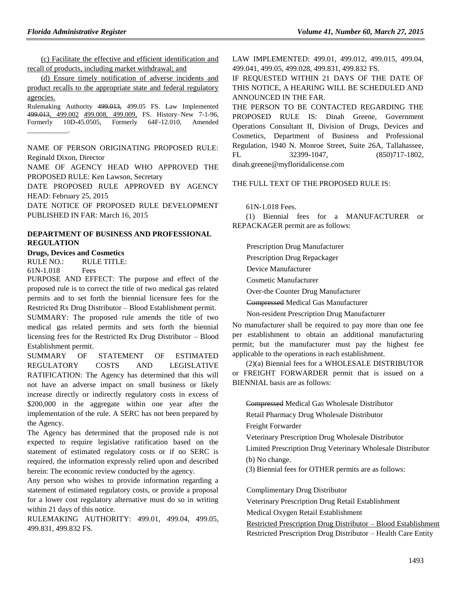(c) Facilitate the effective and efficient identification and recall of products, including market withdrawal; and

(d) Ensure timely notification of adverse incidents and product recalls to the appropriate state and federal regulatory agencies.

Rulemaking Authority 499.013, 499.05 FS. Law Implemented 499.013, 499.002 499.008, 499.009, FS. History–New 7-1-96, Formerly 10D-45.0505, Formerly 64F-12.010, Amended  $\overline{\phantom{a}}$  .

NAME OF PERSON ORIGINATING PROPOSED RULE: Reginald Dixon, Director

NAME OF AGENCY HEAD WHO APPROVED THE PROPOSED RULE: Ken Lawson, Secretary

DATE PROPOSED RULE APPROVED BY AGENCY HEAD: February 25, 2015

DATE NOTICE OF PROPOSED RULE DEVELOPMENT PUBLISHED IN FAR: March 16, 2015

### **[DEPARTMENT OF BUSINESS AND PROFESSIONAL](https://www.flrules.org/gateway/department.asp?id=61)  [REGULATION](https://www.flrules.org/gateway/department.asp?id=61)**

**[Drugs, Devices and Cosmetics](https://www.flrules.org/gateway/organization.asp?id=1057)**

RULE NO.: RULE TITLE: [61N-1.018](https://www.flrules.org/gateway/ruleNo.asp?id=61N-1.018) Fees

PURPOSE AND EFFECT: The purpose and effect of the proposed rule is to correct the title of two medical gas related permits and to set forth the biennial licensure fees for the Restricted Rx Drug Distributor – Blood Establishment permit. SUMMARY: The proposed rule amends the title of two medical gas related permits and sets forth the biennial licensing fees for the Restricted Rx Drug Distributor – Blood Establishment permit.

SUMMARY OF STATEMENT OF ESTIMATED REGULATORY COSTS AND LEGISLATIVE RATIFICATION: The Agency has determined that this will not have an adverse impact on small business or likely increase directly or indirectly regulatory costs in excess of \$200,000 in the aggregate within one year after the implementation of the rule. A SERC has not been prepared by the Agency.

The Agency has determined that the proposed rule is not expected to require legislative ratification based on the statement of estimated regulatory costs or if no SERC is required, the information expressly relied upon and described herein: The economic review conducted by the agency.

Any person who wishes to provide information regarding a statement of estimated regulatory costs, or provide a proposal for a lower cost regulatory alternative must do so in writing within 21 days of this notice.

RULEMAKING AUTHORITY: [499.01,](https://www.flrules.org/gateway/statute.asp?id=499.01) [499.04,](https://www.flrules.org/gateway/statute.asp?id=%20499.04) [499.05,](https://www.flrules.org/gateway/statute.asp?id=%20499.05) [499.831,](https://www.flrules.org/gateway/statute.asp?id=%20499.831) [499.832 FS.](https://www.flrules.org/gateway/statute.asp?id=%20499.832%20FS.)

LAW IMPLEMENTED: [499.01, 499.012, 499.015, 499.04,](https://www.flrules.org/gateway/cfr.asp?id=499.01,%20499.012,%20499.015,%20499.04,%20499.041,%20499.05,%20499.028,%20499.831,%20499.832%20FS)  [499.041, 499.05, 499.028, 499.831, 499.832 FS.](https://www.flrules.org/gateway/cfr.asp?id=499.01,%20499.012,%20499.015,%20499.04,%20499.041,%20499.05,%20499.028,%20499.831,%20499.832%20FS)

IF REQUESTED WITHIN 21 DAYS OF THE DATE OF THIS NOTICE, A HEARING WILL BE SCHEDULED AND ANNOUNCED IN THE FAR.

THE PERSON TO BE CONTACTED REGARDING THE PROPOSED RULE IS: Dinah Greene, Government Operations Consultant II, Division of Drugs, Devices and Cosmetics, Department of Business and Professional Regulation, 1940 N. Monroe Street, Suite 26A, Tallahassee, FL 32399-1047, (850)717-1802, dinah.greene@myfloridalicense.com

THE FULL TEXT OF THE PROPOSED RULE IS:

61N-1.018 Fees.

(1) Biennial fees for a MANUFACTURER or REPACKAGER permit are as follows:

Prescription Drug Manufacturer Prescription Drug Repackager Device Manufacturer Cosmetic Manufacturer Over-the Counter Drug Manufacturer Compressed Medical Gas Manufacturer

Non-resident Prescription Drug Manufacturer

No manufacturer shall be required to pay more than one fee per establishment to obtain an additional manufacturing permit; but the manufacturer must pay the highest fee applicable to the operations in each establishment.

(2)(a) Biennial fees for a WHOLESALE DISTRIBUTOR or FREIGHT FORWARDER permit that is issued on a BIENNIAL basis are as follows:

Compressed Medical Gas Wholesale Distributor

Retail Pharmacy Drug Wholesale Distributor

Freight Forwarder

Veterinary Prescription Drug Wholesale Distributor

Limited Prescription Drug Veterinary Wholesale Distributor

(b) No change.

(3) Biennial fees for OTHER permits are as follows:

Complimentary Drug Distributor

Veterinary Prescription Drug Retail Establishment

Medical Oxygen Retail Establishment

Restricted Prescription Drug Distributor – Blood Establishment Restricted Prescription Drug Distributor – Health Care Entity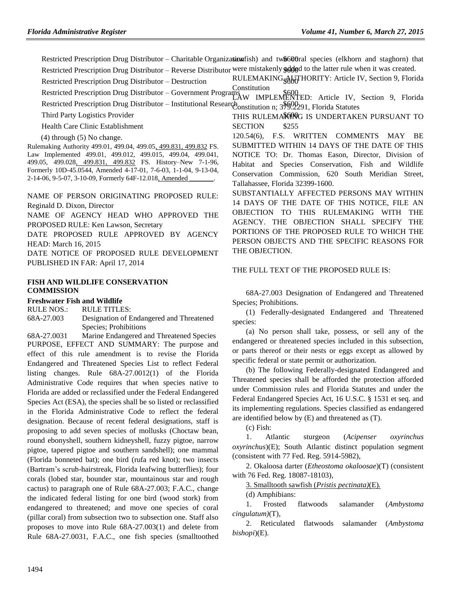Restricted Prescription Drug Distributor - Charitable Organization fish) and two 600ral species (elkhorn and staghorn) that Restricted Prescription Drug Distributor – Reverse Distributor were mistakenly gologd to the latter rule when it was created.

Restricted Prescription Drug Distributor – Destruction RULEMAKING AUTHORITY: Article IV, Section 9, Florida [Constitution](https://www.flrules.org/gateway/flconstitution.asp?id=Article%20IV,%20Section%209,%20Florida%20Constitution)

Restricted Prescription Drug Distributor – Government Programs \$600<br>LAW IMPLEMENTED: Article IV, Section 9, Florida Restricted Prescription Drug Distributor – Institutional Research [Constitution](https://www.flrules.org/gateway/flconstitution.asp?id=Article%20IV,%20Section%209,%20Florida%20Constitution) n; 37602291, Florida Statutes

Third Party Logistics Provider

Health Care Clinic Establishment  $SECTION$  \$255

(4) through (5) No change.

Rulemaking Authority 499.01, 499.04, 499.05, 499.831, 499.832 FS. Law Implemented 499.01, 499.012, 499.015, 499.04, 499.041, 499.05, 499.028, 499.831, 499.832 FS. History–New 7-1-96, Formerly 10D-45.0544, Amended 4-17-01, 7-6-03, 1-1-04, 9-13-04, 2-14-06, 9-5-07, 3-10-09, Formerly 64F-12.018, Amended

NAME OF PERSON ORIGINATING PROPOSED RULE: Reginald D. Dixon, Director

NAME OF AGENCY HEAD WHO APPROVED THE PROPOSED RULE: Ken Lawson, Secretary

DATE PROPOSED RULE APPROVED BY AGENCY HEAD: March 16, 2015

DATE NOTICE OF PROPOSED RULE DEVELOPMENT PUBLISHED IN FAR: April 17, 2014

#### **[FISH AND WILDLIFE CONSERVATION](https://www.flrules.org/gateway/department.asp?id=68)  [COMMISSION](https://www.flrules.org/gateway/department.asp?id=68)**

**[Freshwater Fish and Wildlife](https://www.flrules.org/gateway/organization.asp?id=347)**

RULE NOS.: RULE TITLES:

[68A-27.003](https://www.flrules.org/gateway/ruleNo.asp?id=68A-27.003) Designation of Endangered and Threatened Species; Prohibitions

[68A-27.0031](https://www.flrules.org/gateway/ruleNo.asp?id=68A-27.0031) Marine Endangered and Threatened Species PURPOSE, EFFECT AND SUMMARY: The purpose and effect of this rule amendment is to revise the Florida Endangered and Threatened Species List to reflect Federal listing changes. Rule 68A-27.0012(1) of the Florida Administrative Code requires that when species native to Florida are added or reclassified under the Federal Endangered Species Act (ESA), the species shall be so listed or reclassified in the Florida Administrative Code to reflect the federal designation. Because of recent federal designations, staff is proposing to add seven species of mollusks (Choctaw bean, round ebonyshell, southern kidneyshell, fuzzy pigtoe, narrow pigtoe, tapered pigtoe and southern sandshell); one mammal (Florida bonneted bat); one bird (rufa red knot); two insects (Bartram's scrub-hairstreak, Florida leafwing butterflies); four corals (lobed star, bounder star, mountainous star and rough cactus) to paragraph one of Rule 68A-27.003; F.A.C., change the indicated federal listing for one bird (wood stork) from endangered to threatened; and move one species of coral (pillar coral) from subsection two to subsection one. Staff also proposes to move into Rule 68A-27.003(1) and delete from Rule 68A-27.0031, F.A.C., one fish species (smalltoothed

THIS RULEMAKONG IS UNDERTAKEN PURSUANT TO **SECTION** 

120.54(6), F.S. WRITTEN COMMENTS MAY BE SUBMITTED WITHIN 14 DAYS OF THE DATE OF THIS NOTICE TO: Dr. Thomas Eason, Director, Division of Habitat and Species Conservation, Fish and Wildlife Conservation Commission, 620 South Meridian Street, Tallahassee, Florida 32399-1600.

SUBSTANTIALLY AFFECTED PERSONS MAY WITHIN 14 DAYS OF THE DATE OF THIS NOTICE, FILE AN OBJECTION TO THIS RULEMAKING WITH THE AGENCY. THE OBJECTION SHALL SPECIFY THE PORTIONS OF THE PROPOSED RULE TO WHICH THE PERSON OBJECTS AND THE SPECIFIC REASONS FOR THE OBJECTION.

THE FULL TEXT OF THE PROPOSED RULE IS:

68A-27.003 Designation of Endangered and Threatened Species; Prohibitions.

(1) Federally-designated Endangered and Threatened species:

(a) No person shall take, possess, or sell any of the endangered or threatened species included in this subsection, or parts thereof or their nests or eggs except as allowed by specific federal or state permit or authorization.

(b) The following Federally-designated Endangered and Threatened species shall be afforded the protection afforded under Commission rules and Florida Statutes and under the Federal Endangered Species Act, 16 U.S.C. § 1531 et seq. and its implementing regulations. Species classified as endangered are identified below by (E) and threatened as (T).

(c) Fish:

1. Atlantic sturgeon (*Acipenser oxyrinchus oxyrinchus*)(E); South Atlantic distinct population segment (consistent with 77 Fed. Reg. 5914-5982),

2. Okaloosa darter (*Etheostoma okaloosae*)(T) (consistent with 76 Fed. Reg. 18087-18103),

3. Smalltooth sawfish (*Pristis pectinata)*(E)*.*

(d) Amphibians:

1. Frosted flatwoods salamander (*Ambystoma cingulatum)*(T)*,*

2. Reticulated flatwoods salamander (*Ambystoma bishopi*)(E).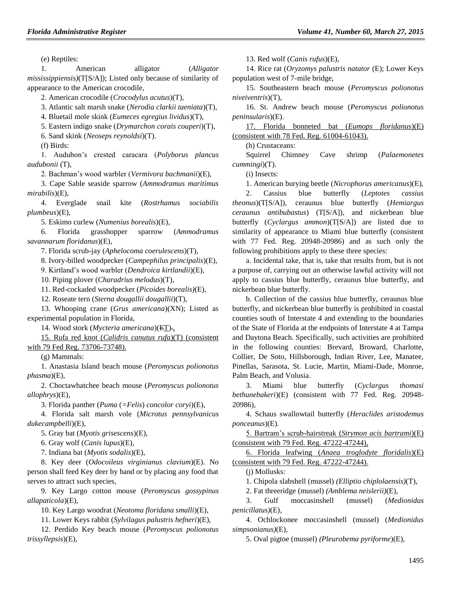(e) Reptiles:

1. American alligator (*Alligator mississippiensis)*(T[S/A]); Listed only because of similarity of appearance to the American crocodile,

2. American crocodile (*Crocodylus acutus*)(T),

3. Atlantic salt marsh snake (*Nerodia clarkii taeniata*)(T),

4. Bluetail mole skink (*Eumeces egregius lividus*)(T),

5. Eastern indigo snake (*Drymarchon corais couperi*)(T),

6. Sand skink (*Neoseps reynoldsi*)(T).

(f) Birds:

1. Audubon's crested caracara (*Polyborus plancus audubonii* (T),

2. Bachman's wood warbler (*Vermivora bachmanii*)(E),

3. Cape Sable seaside sparrow (*Ammodramus maritimus mirabilis*)(E),

4. Everglade snail kite (*Rostrhamus sociabilis plumbeus*)(E),

5. Eskimo curlew (*Numenius borealis*)(E),

6. Florida grasshopper sparrow (*Ammodramus savannarum floridanus*)(E),

7. Florida scrub-jay (*Aphelocoma coerulescens*)(T),

8. Ivory-billed woodpecker (*Campephilus principalis*)(E),

9. Kirtland's wood warbler (*Dendroica kirtlandii*)(E),

10. Piping plover (*Charadrius melodus*)(T),

11. Red-cockaded woodpecker (*Picoides borealis)*(E),

12. Roseate tern (*Sterna dougallii dougallii*)(T),

13. Whooping crane (*Grus americana*)(XN); Listed as experimental population in Florida,

14. Wood stork (*Mycteria americana*)(ET).,

15. Rufa red knot (*Calidris canutus rufa*)(T) (consistent with 79 Fed Reg. 73706-73748).

(g) Mammals:

1. Anastasia Island beach mouse (*Peromyscus polionotus phasma*)(E),

2. Choctawhatchee beach mouse (*Peromyscus polionotus allophrys*)(E),

3. Florida panther (*Puma* (*=Felis*) *concolor coryi*)(E),

4. Florida salt marsh vole (*Microtus pennsylvanicus dukecampbelli*)(E),

5. Gray bat (*Myotis grisescens*)(E),

6. Gray wolf (*Canis lupus*)(E),

7. Indiana bat (*Myotis sodalis*)(E),

8. Key deer (*Odocoileus virginianus clavium*)(E). No person shall feed Key deer by hand or by placing any food that serves to attract such species,

9. Key Largo cotton mouse (*Peromyscus gossypinus allapaticola*)(E),

10. Key Largo woodrat (*Neotoma floridana smalli*)(E),

11. Lower Keys rabbit (*Sylvilagus palustris hefneri*)(E),

12. Perdido Key beach mouse (*Peromyscus polionotus trissyllepsis*)(E),

13. Red wolf (*Canis rufus*)(E),

14. Rice rat (*Oryzomys palustris natator* (E); Lower Keys population west of 7-mile bridge,

15. Southeastern beach mouse (*Peromyscus polionotus niveiventris*)(T),

16. St. Andrew beach mouse (*Peromyscus polionotus peninsularis*)(E).

17. Florida bonneted bat (*Eumops floridanus*)(E) (consistent with 78 Fed. Reg. 61004-61043).

(h) Crustaceans:

Squirrel Chimney Cave shrimp (*Palaemonetes cummingi*)(T).

(i) Insects:

1. American burying beetle (*Nicrophorus americanus*)(E),

2. Cassius blue butterfly (*Leptotes cassius theonus*)(T[S/A]), ceraunus blue butterfly (*Hemiargus ceraunus antibubastus*) (T[S/A]), and nickerbean blue butterfly (*Cyclargus ammon*)(T[S/A]) are listed due to similarity of appearance to Miami blue butterfly (consistent with 77 Fed. Reg. 20948-20986) and as such only the following prohibitions apply to these three species:

a. Incidental take, that is, take that results from, but is not a purpose of, carrying out an otherwise lawful activity will not apply to cassius blue butterfly, ceraunus blue butterfly, and nickerbean blue butterfly.

b. Collection of the cassius blue butterfly, ceraunus blue butterfly, and nickerbean blue butterfly is prohibited in coastal counties south of Interstate 4 and extending to the boundaries of the State of Florida at the endpoints of Interstate 4 at Tampa and Daytona Beach. Specifically, such activities are prohibited in the following counties: Brevard, Broward, Charlotte, Collier, De Soto, Hillsborough, Indian River, Lee, Manatee, Pinellas, Sarasota, St. Lucie, Martin, Miami-Dade, Monroe, Palm Beach, and Volusia.

3. Miami blue butterfly (*Cyclargus thomasi bethunebakeri*)(E) (consistent with 77 Fed. Reg. 20948- 20986),

4. Schaus swallowtail butterfly (*Heraclides aristodemus ponceanus*)(E).

5. Bartram's scrub-hairstreak (*Strymon acis bartrami*)(E) (consistent with 79 Fed. Reg. 47222-47244),

6. Florida leafwing (*Anaea troglodyte floridalis*)(E) (consistent with 79 Fed. Reg. 47222-47244).

(j) Mollusks:

1. Chipola slabshell (mussel) *(Elliptio chiplolaensis)*(T),

2. Fat threeridge (mussel) *(Amblema neislerii)*(E)*,*

3. Gulf moccasinshell (mussel) (*Medionidus penicillatus)*(E)*,*

4. Ochlockonee moccasinshell (mussel) (*Medionidus simpsonianus)*(E)*,*

5. Oval pigtoe (mussel) *(Pleurobema pyriforme*)(E),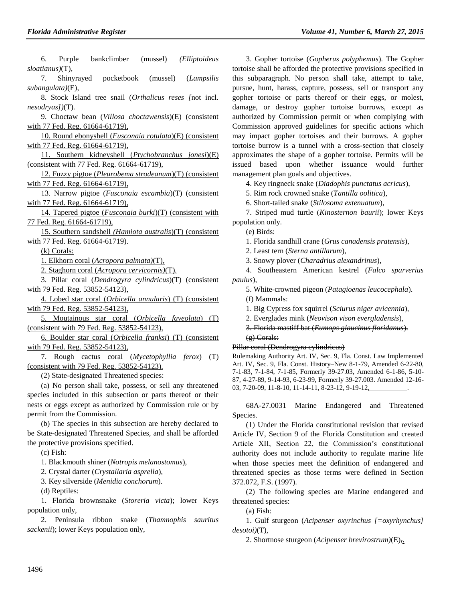6. Purple bankclimber (mussel) *(Elliptoideus sloatianus)*(T),

7. Shinyrayed pocketbook (mussel) (*Lampsilis subangulata)*(E),

8. Stock Island tree snail (*Orthalicus reses [*not incl. *nesodryas])*(T).

9. Choctaw bean (*Villosa choctawensis*)(E) (consistent with 77 Fed. Reg. 61664-61719),

10. Round ebonyshell (*Fusconaia rotulata*)(E) (consistent with 77 Fed. Reg. 61664-61719),

11. Southern kidneyshell (*Ptychobranchus jonesi*)(E) (consistent with 77 Fed. Reg. 61664-61719),

12. Fuzzy pigtoe (*Pleurobema strodeanum*)(T) (consistent with 77 Fed. Reg. 61664-61719),

13. Narrow pigtoe (*Fusconaia escambia*)(T) (consistent with 77 Fed. Reg. 61664-61719),

14. Tapered pigtoe (*Fusconaia burki*)(T) (consistent with 77 Fed. Reg. 61664-61719),

15. Southern sandshell *(Hamiota australis*)(T) (consistent with 77 Fed. Reg. 61664-61719).

(k) Corals:

1. Elkhorn coral (*Acropora palmata)*(T)*,*

2. Staghorn coral (*Acropora cervicornis)*(T)*.*

3. Pillar coral (*Dendrogyra cylindricus*)(T) (consistent with 79 Fed. Reg. 53852-54123),

4. Lobed star coral (*Orbicella annularis*) (T) (consistent with 79 Fed. Reg. 53852-54123),

5. Moutainous star coral (*Orbicella faveolata*) (T) (consistent with 79 Fed. Reg. 53852-54123),

6. Boulder star coral (*Orbicella franksi*) (T) (consistent with 79 Fed. Reg. 53852-54123),

7. Rough cactus coral (*Mycetophyllia ferox*) (T) (consistent with 79 Fed. Reg. 53852-54123).

(2) State-designated Threatened species:

(a) No person shall take, possess, or sell any threatened species included in this subsection or parts thereof or their nests or eggs except as authorized by Commission rule or by permit from the Commission.

(b) The species in this subsection are hereby declared to be State-designated Threatened Species, and shall be afforded the protective provisions specified.

(c) Fish:

1. Blackmouth shiner (*Notropis melanostomus*),

2. Crystal darter (*Crystallaria asprella*),

3. Key silverside (*Menidia conchorum*).

(d) Reptiles:

1. Florida brownsnake (*Storeria victa*); lower Keys population only,

2. Peninsula ribbon snake (*Thamnophis sauritus sackenii*); lower Keys population only,

3. Gopher tortoise (*Gopherus polyphemus*). The Gopher tortoise shall be afforded the protective provisions specified in this subparagraph. No person shall take, attempt to take, pursue, hunt, harass, capture, possess, sell or transport any gopher tortoise or parts thereof or their eggs, or molest, damage, or destroy gopher tortoise burrows, except as authorized by Commission permit or when complying with Commission approved guidelines for specific actions which may impact gopher tortoises and their burrows. A gopher tortoise burrow is a tunnel with a cross-section that closely approximates the shape of a gopher tortoise. Permits will be issued based upon whether issuance would further management plan goals and objectives.

4. Key ringneck snake (*Diadophis punctatus acricus*),

5. Rim rock crowned snake (*Tantilla oolitica*),

6. Short-tailed snake (*Stilosoma extenuatum*),

7. Striped mud turtle (*Kinosternon baurii*); lower Keys population only.

(e) Birds:

1. Florida sandhill crane (*Grus canadensis pratensis*),

2. Least tern (*Sterna antillarum*),

3. Snowy plover (*Charadrius alexandrinus*),

4. Southeastern American kestrel (*Falco sparverius paulus*),

5. White-crowned pigeon (*Patagioenas leucocephala*).

(f) Mammals:

1. Big Cypress fox squirrel (*Sciurus niger avicennia*),

2. Everglades mink (*Neovison vison evergladensis*),

3. Florida mastiff bat (*Eumops glaucinus floridanus*). (g) Corals:

Pillar coral (Dendrogyra cylindricus)

Rulemaking Authority Art. IV, Sec. 9, Fla. Const. Law Implemented Art. IV, Sec. 9, Fla. Const. History–New 8-1-79, Amended 6-22-80, 7-1-83, 7-1-84, 7-1-85, Formerly 39-27.03, Amended 6-1-86, 5-10- 87, 4-27-89, 9-14-93, 6-23-99, Formerly 39-27.003. Amended 12-16- 03, 7-20-09, 11-8-10, 11-14-11, 8-23-12, 9-19-12, .

68A-27.0031 Marine Endangered and Threatened Species.

(1) Under the Florida constitutional revision that revised Article IV, Section 9 of the Florida Constitution and created Article XII, Section 22, the Commission's constitutional authority does not include authority to regulate marine life when those species meet the definition of endangered and threatened species as those terms were defined in Section 372.072, F.S. (1997).

(2) The following species are Marine endangered and threatened species:

(a) Fish:

1. Gulf sturgeon (*Acipenser oxyrinchus [=oxyrhynchus] desotoi)*(T)*,*

2. Shortnose sturgeon (*Acipenser brevirostrum)*(E),.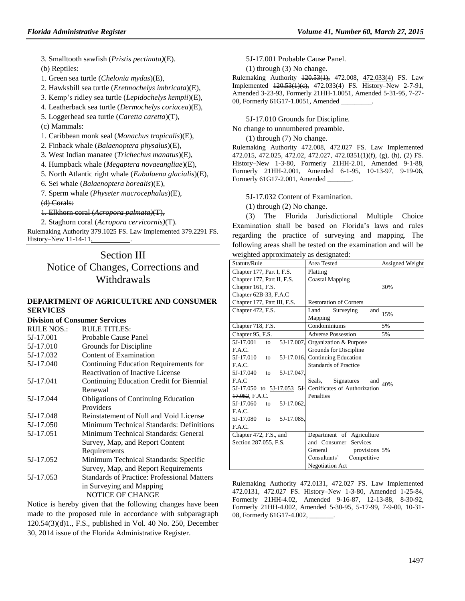#### 3. Smalltooth sawfish (*Pristis pectinata)*(E)*.*

(b) Reptiles:

- 1. Green sea turtle (*Chelonia mydas*)(E),
- 2. Hawksbill sea turtle (*Eretmochelys imbricata*)(E),
- 3. Kemp's ridley sea turtle (*Lepidochelys kempii*)(E),
- 4. Leatherback sea turtle (*Dermochelys coriacea*)(E),
- 5. Loggerhead sea turtle (*Caretta caretta*)(T),

(c) Mammals:

- 1. Caribbean monk seal (*Monachus tropicalis*)(E)*,*
- 2. Finback whale (*Balaenoptera physalus*)(E),
- 3. West Indian manatee (*Trichechus manatus*)(E),
- 4. Humpback whale (*Megaptera novaeangliae*)(E),
- 5. North Atlantic right whale (*Eubalaena glacialis*)(E),
- 6. Sei whale (*Balaenoptera borealis*)(E),
- 7. Sperm whale (*Physeter macrocephalus*)(E),

(d) Corals:

- 1. Elkhorn coral (*Acropora palmata)*(T)*,*
- 2. Staghorn coral (*Acropora cervicornis)*(T)*.*

Rulemaking Authority 379.1025 FS. Law Implemented 379.2291 FS. History–New 11-14-11,

# Section III Notice of Changes, Corrections and Withdrawals

#### **[DEPARTMENT OF AGRICULTURE AND CONSUMER](https://www.flrules.org/gateway/department.asp?id=5)  [SERVICES](https://www.flrules.org/gateway/department.asp?id=5)**

#### **[Division of Consumer Services](https://www.flrules.org/gateway/organization.asp?id=170)**

| <b>RULE NOS.:</b> | <b>RULE TITLES:</b>                         |
|-------------------|---------------------------------------------|
| 5J-17.001         | Probable Cause Panel                        |
| 5J-17.010         | Grounds for Discipline                      |
| 5J-17.032         | Content of Examination                      |
| 5J-17.040         | Continuing Education Requirements for       |
|                   | Reactivation of Inactive License            |
| 5J-17.041         | Continuing Education Credit for Biennial    |
|                   | Renewal                                     |
| 5J-17.044         | <b>Obligations of Continuing Education</b>  |
|                   | Providers                                   |
| 5J-17.048         | Reinstatement of Null and Void License      |
| 5J-17.050         | Minimum Technical Standards: Definitions    |
| 5J-17.051         | Minimum Technical Standards: General        |
|                   | Survey, Map, and Report Content             |
|                   | Requirements                                |
| 5J-17.052         | Minimum Technical Standards: Specific       |
|                   | Survey, Map, and Report Requirements        |
| 5J-17.053         | Standards of Practice: Professional Matters |
|                   | in Surveying and Mapping                    |
|                   | NOTICE OF CHANGE                            |
|                   |                                             |

Notice is hereby given that the following changes have been made to the proposed rule in accordance with subparagraph 120.54(3)(d)1., F.S., published in Vol. 40 No. 250, December 30, 2014 issue of the Florida Administrative Register.

5J-17.001 Probable Cause Panel.

(1) through (3) No change.

Rulemaking Authority 120.53(1), 472.008, 472.033(4) FS. Law Implemented 120.53(1)(c), 472.033(4) FS. History–New 2-7-91, Amended 3-23-93, Formerly 21HH-1.0051, Amended 5-31-95, 7-27- 00, Formerly 61G17-1.0051, Amended

5J-17.010 Grounds for Discipline.

No change to unnumbered preamble.

(1) through (7) No change.

Rulemaking Authority 472.008, 472.027 FS. Law Implemented 472.015, 472.025, 472.02, 472.027, 472.0351(1)(f), (g), (h), (2) FS. History–New 1-3-80, Formerly 21HH-2.01, Amended 9-1-88, Formerly 21HH-2.001, Amended 6-1-95, 10-13-97, 9-19-06, Formerly 61G17-2.001, Amended \_\_\_\_\_\_\_.

5J-17.032 Content of Examination.

(1) through (2) No change.

(3) The Florida Jurisdictional Multiple Choice Examination shall be based on Florida's laws and rules regarding the practice of surveying and mapping. The following areas shall be tested on the examination and will be weighted approximately as designated:

| Statute/Rule                  | Area Tested                                              | Assigned Weight |
|-------------------------------|----------------------------------------------------------|-----------------|
| Chapter 177, Part I, F.S.     | Platting                                                 |                 |
| Chapter 177, Part II, F.S.    | <b>Coastal Mapping</b>                                   |                 |
| Chapter 161, F.S.             |                                                          | 30%             |
| Chapter 62B-33, F.A.C         |                                                          |                 |
| Chapter 177, Part III, F.S.   | <b>Restoration of Corners</b>                            |                 |
| Chapter 472, F.S.             | Land<br>Surveying<br>and                                 | 15%             |
|                               | Mapping                                                  |                 |
| Chapter 718, F.S.             | Condominiums                                             | 5%              |
| Chapter 95, F.S.              | <b>Adverse Possession</b>                                | 5%              |
| 5J-17.007.<br>5J-17.001<br>to | Organization & Purpose                                   |                 |
| F.A.C.                        | Grounds for Discipline                                   |                 |
| 5J-17.010<br>5J-17.016.<br>to | <b>Continuing Education</b>                              |                 |
| F.A.C.                        | <b>Standards of Practice</b>                             |                 |
| 5J-17.040<br>5J-17.047.<br>to |                                                          |                 |
| F.A.C                         | Seals.<br>Signatures<br>and                              | 40%             |
|                               | 5J-17.050 to 5J-17.053 5J- Certificates of Authorization |                 |
| 17.052, F.A.C.                | Penalties                                                |                 |
| 5J-17.060<br>5J-17.062.<br>to |                                                          |                 |
| F.A.C.                        |                                                          |                 |
| 5J-17.080<br>5J-17.085.<br>to |                                                          |                 |
| F.A.C.                        |                                                          |                 |
| Chapter 472, F.S., and        | Department of Agriculture                                |                 |
| Section 287.055, F.S.         | and Consumer Services                                    |                 |
|                               | General<br>provisions 5%                                 |                 |
|                               | Consultants'<br>Competitive                              |                 |
|                               | <b>Negotiation Act</b>                                   |                 |

Rulemaking Authority 472.0131, 472.027 FS. Law Implemented 472.0131, 472.027 FS. History–New 1-3-80, Amended 1-25-84, Formerly 21HH-4.02, Amended 9-16-87, 12-13-88, 8-30-92, Formerly 21HH-4.002, Amended 5-30-95, 5-17-99, 7-9-00, 10-31- 08, Formerly 61G17-4.002,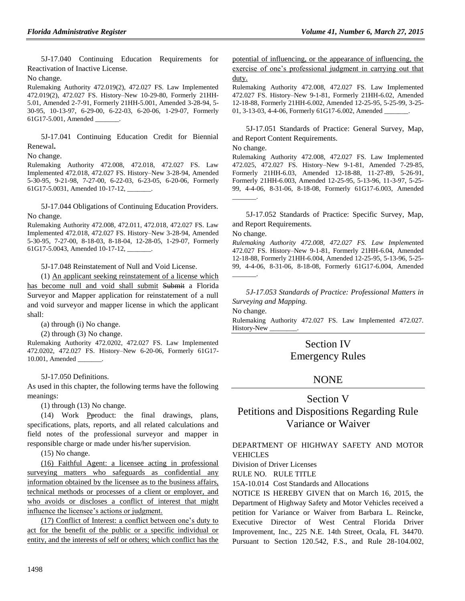5J-17.040 Continuing Education Requirements for Reactivation of Inactive License.

No change.

Rulemaking Authority 472.019(2), 472.027 FS. Law Implemented 472.019(2), 472.027 FS. History–New 10-29-80, Formerly 21HH-5.01, Amended 2-7-91, Formerly 21HH-5.001, Amended 3-28-94, 5- 30-95, 10-13-97, 6-29-00, 6-22-03, 6-20-06, 1-29-07, Formerly 61G17-5.001, Amended \_\_\_\_\_\_\_.

5J-17.041 Continuing Education Credit for Biennial Renewal**.**

No change.

Rulemaking Authority 472.008, 472.018, 472.027 FS. Law Implemented 472.018, 472.027 FS. History–New 3-28-94, Amended 5-30-95, 9-21-98, 7-27-00, 6-22-03, 6-23-05, 6-20-06, Formerly 61G17-5.0031, Amended 10-17-12,

5J-17.044 Obligations of Continuing Education Providers. No change.

Rulemaking Authority 472.008, 472.011, 472.018, 472.027 FS. Law Implemented 472.018, 472.027 FS. History–New 3-28-94, Amended 5-30-95, 7-27-00, 8-18-03, 8-18-04, 12-28-05, 1-29-07, Formerly 61G17-5.0043, Amended 10-17-12,

5J-17.048 Reinstatement of Null and Void License.

(1) An applicant seeking reinstatement of a license which has become null and void shall submit Submit a Florida Surveyor and Mapper application for reinstatement of a null and void surveyor and mapper license in which the applicant shall:

(a) through (i) No change.

(2) through (3) No change.

Rulemaking Authority 472.0202, 472.027 FS. Law Implemented 472.0202, 472.027 FS. History–New 6-20-06, Formerly 61G17- 10.001, Amended

5J-17.050 Definitions.

As used in this chapter, the following terms have the following meanings:

(1) through (13) No change.

(14) Work Pproduct: the final drawings, plans, specifications, plats, reports, and all related calculations and field notes of the professional surveyor and mapper in responsible charge or made under his/her supervision.

(15) No change.

(16) Faithful Agent: a licensee acting in professional surveying matters who safeguards as confidential any information obtained by the licensee as to the business affairs, technical methods or processes of a client or employer, and who avoids or discloses a conflict of interest that might influence the licensee's actions or judgment.

(17) Conflict of Interest: a conflict between one's duty to act for the benefit of the public or a specific individual or entity, and the interests of self or others; which conflict has the potential of influencing, or the appearance of influencing, the exercise of one's professional judgment in carrying out that duty.

Rulemaking Authority 472.008, 472.027 FS. Law Implemented 472.027 FS. History–New 9-1-81, Formerly 21HH-6.02, Amended 12-18-88, Formerly 21HH-6.002, Amended 12-25-95, 5-25-99, 3-25- 01, 3-13-03, 4-4-06, Formerly 61G17-6.002, Amended \_

5J-17.051 Standards of Practice: General Survey, Map, and Report Content Requirements.

No change.

Rulemaking Authority 472.008, 472.027 FS. Law Implemented 472.025, 472.027 FS. History–New 9-1-81, Amended 7-29-85, Formerly 21HH-6.03, Amended 12-18-88, 11-27-89, 5-26-91, Formerly 21HH-6.003, Amended 12-25-95, 5-13-96, 11-3-97, 5-25- 99, 4-4-06, 8-31-06, 8-18-08, Formerly 61G17-6.003, Amended  $\overline{\phantom{a}}$ 

5J-17.052 Standards of Practice: Specific Survey, Map, and Report Requirements.

No change.

*Rulemaking Authority 472.008, 472.027 FS. Law Impleme*nted 472.027 FS. History–New 9-1-81, Formerly 21HH-6.04, Amended 12-18-88, Formerly 21HH-6.004, Amended 12-25-95, 5-13-96, 5-25- 99, 4-4-06, 8-31-06, 8-18-08, Formerly 61G17-6.004, Amended  $\overline{\phantom{a}}$ 

*5J-17.053 Standards of Practice: Professional Matters in Surveying and Mapping.*

No change.

Rulemaking Authority 472.027 FS. Law Implemented 472.027. History-New \_\_\_\_\_\_\_\_.

# Section IV Emergency Rules

# NONE

## Section V

# Petitions and Dispositions Regarding Rule Variance or Waiver

## [DEPARTMENT OF HIGHWAY SAFETY AND MOTOR](https://www.flrules.org/gateway/department.asp?id=15)  [VEHICLES](https://www.flrules.org/gateway/department.asp?id=15)

[Division of Driver Licenses](https://www.flrules.org/gateway/organization.asp?id=40)

RULE NO. RULE TITLE

[15A-10.014](https://www.flrules.org/gateway/ruleNo.asp?id=15A-10.014) Cost Standards and Allocations

NOTICE IS HEREBY GIVEN that on March 16, 2015, the Department of Highway Safety and Motor Vehicles received a petition for Variance or Waiver from Barbara L. Reincke, Executive Director of West Central Florida Driver Improvement, Inc., 225 N.E. 14th Street, Ocala, FL 34470. Pursuant to Section 120.542, F.S., and Rule 28-104.002,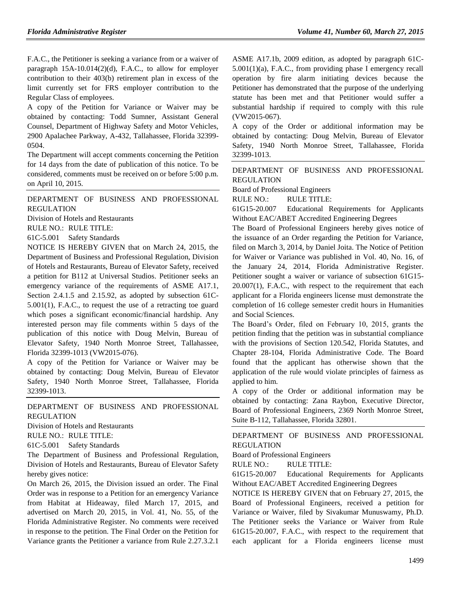F.A.C., the Petitioner is seeking a variance from or a waiver of paragraph 15A-10.014(2)(d), F.A.C., to allow for employer contribution to their 403(b) retirement plan in excess of the limit currently set for FRS employer contribution to the Regular Class of employees.

A copy of the Petition for Variance or Waiver may be obtained by contacting: Todd Sumner, Assistant General Counsel, Department of Highway Safety and Motor Vehicles, 2900 Apalachee Parkway, A-432, Tallahassee, Florida 32399- 0504.

The Department will accept comments concerning the Petition for 14 days from the date of publication of this notice. To be considered, comments must be received on or before 5:00 p.m. on April 10, 2015.

[DEPARTMENT OF BUSINESS AND PROFESSIONAL](https://www.flrules.org/gateway/department.asp?id=61)  [REGULATION](https://www.flrules.org/gateway/department.asp?id=61)

[Division of Hotels and Restaurants](https://www.flrules.org/gateway/organization.asp?id=249)

RULE NO.: RULE TITLE:

[61C-5.001](https://www.flrules.org/gateway/ruleNo.asp?id=61C-5.001) Safety Standards

NOTICE IS HEREBY GIVEN that on March 24, 2015, the Department of Business and Professional Regulation, Division of Hotels and Restaurants, Bureau of Elevator Safety, received a petition for B112 at Universal Studios. Petitioner seeks an emergency variance of the requirements of ASME A17.1, Section 2.4.1.5 and 2.15.92, as adopted by subsection 61C-5.001(1), F.A.C., to request the use of a retracting toe guard which poses a significant economic/financial hardship. Any interested person may file comments within 5 days of the publication of this notice with Doug Melvin, Bureau of Elevator Safety, 1940 North Monroe Street, Tallahassee, Florida 32399-1013 (VW2015-076).

A copy of the Petition for Variance or Waiver may be obtained by contacting: Doug Melvin, Bureau of Elevator Safety, 1940 North Monroe Street, Tallahassee, Florida 32399-1013.

[DEPARTMENT OF BUSINESS AND PROFESSIONAL](https://www.flrules.org/gateway/department.asp?id=61)  [REGULATION](https://www.flrules.org/gateway/department.asp?id=61)

[Division of Hotels and Restaurants](https://www.flrules.org/gateway/organization.asp?id=249)

RULE NO.: RULE TITLE:

[61C-5.001](https://www.flrules.org/gateway/ruleNo.asp?id=61C-5.001) Safety Standards

The Department of Business and Professional Regulation, Division of Hotels and Restaurants, Bureau of Elevator Safety hereby gives notice:

On March 26, 2015, the Division issued an order. The Final Order was in response to a Petition for an emergency Variance from Habitat at Hideaway, filed March 17, 2015, and advertised on March 20, 2015, in Vol. 41, No. 55, of the Florida Administrative Register. No comments were received in response to the petition. The Final Order on the Petition for Variance grants the Petitioner a variance from Rule 2.27.3.2.1

ASME A17.1b, 2009 edition, as adopted by paragraph 61C-5.001(1)(a), F.A.C., from providing phase I emergency recall operation by fire alarm initiating devices because the Petitioner has demonstrated that the purpose of the underlying statute has been met and that Petitioner would suffer a substantial hardship if required to comply with this rule (VW2015-067).

A copy of the Order or additional information may be obtained by contacting: Doug Melvin, Bureau of Elevator Safety, 1940 North Monroe Street, Tallahassee, Florida 32399-1013.

[DEPARTMENT OF BUSINESS AND PROFESSIONAL](https://www.flrules.org/gateway/department.asp?id=61)  [REGULATION](https://www.flrules.org/gateway/department.asp?id=61)

[Board of Professional Engineers](https://www.flrules.org/gateway/organization.asp?id=267)

RULE NO.: RULE TITLE:

[61G15-20.007](https://www.flrules.org/gateway/ruleNo.asp?id=61G15-20.007) Educational Requirements for Applicants Without EAC/ABET Accredited Engineering Degrees

The Board of Professional Engineers hereby gives notice of the issuance of an Order regarding the Petition for Variance, filed on March 3, 2014, by Daniel Joita. The Notice of Petition for Waiver or Variance was published in Vol. 40, No. 16, of the January 24, 2014, Florida Administrative Register. Petitioner sought a waiver or variance of subsection 61G15- 20.007(1), F.A.C., with respect to the requirement that each applicant for a Florida engineers license must demonstrate the completion of 16 college semester credit hours in Humanities and Social Sciences.

The Board's Order, filed on February 10, 2015, grants the petition finding that the petition was in substantial compliance with the provisions of Section 120.542, Florida Statutes, and Chapter 28-104, Florida Administrative Code. The Board found that the applicant has otherwise shown that the application of the rule would violate principles of fairness as applied to him.

A copy of the Order or additional information may be obtained by contacting: Zana Raybon, Executive Director, Board of Professional Engineers, 2369 North Monroe Street, Suite B-112, Tallahassee, Florida 32801.

### [DEPARTMENT OF BUSINESS AND PROFESSIONAL](https://www.flrules.org/gateway/department.asp?id=61)  [REGULATION](https://www.flrules.org/gateway/department.asp?id=61)

[Board of Professional Engineers](https://www.flrules.org/gateway/organization.asp?id=267)

RULE NO.: RULE TITLE:

[61G15-20.007](https://www.flrules.org/gateway/ruleNo.asp?id=61G15-20.007) Educational Requirements for Applicants Without EAC/ABET Accredited Engineering Degrees

NOTICE IS HEREBY GIVEN that on February 27, 2015, the Board of Professional Engineers, received a petition for Variance or Waiver, filed by Sivakumar Munuswamy, Ph.D. The Petitioner seeks the Variance or Waiver from Rule 61G15-20.007, F.A.C., with respect to the requirement that each applicant for a Florida engineers license must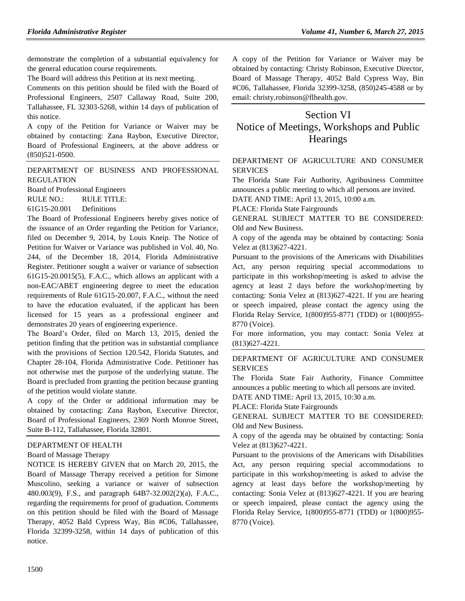demonstrate the completion of a substantial equivalency for the general education course requirements.

The Board will address this Petition at its next meeting.

Comments on this petition should be filed with the Board of Professional Engineers, 2507 Callaway Road, Suite 200, Tallahassee, FL 32303-5268, within 14 days of publication of this notice.

A copy of the Petition for Variance or Waiver may be obtained by contacting: Zana Raybon, Executive Director, Board of Professional Engineers, at the above address or (850)521-0500.

[DEPARTMENT OF BUSINESS AND PROFESSIONAL](https://www.flrules.org/gateway/department.asp?id=61)  [REGULATION](https://www.flrules.org/gateway/department.asp?id=61)

[Board of Professional Engineers](https://www.flrules.org/gateway/organization.asp?id=267)

RULE NO.: RULE TITLE:

[61G15-20.001](https://www.flrules.org/gateway/ruleNo.asp?id=61G15-20.001) Definitions

The Board of Professional Engineers hereby gives notice of the issuance of an Order regarding the Petition for Variance, filed on December 9, 2014, by Louis Kneip. The Notice of Petition for Waiver or Variance was published in Vol. 40, No. 244, of the December 18, 2014, Florida Administrative Register. Petitioner sought a waiver or variance of subsection 61G15-20.0015(5), F.A.C., which allows an applicant with a non-EAC/ABET engineering degree to meet the education requirements of Rule 61G15-20.007, F.A.C., without the need to have the education evaluated, if the applicant has been licensed for 15 years as a professional engineer and demonstrates 20 years of engineering experience.

The Board's Order, filed on March 13, 2015, denied the petition finding that the petition was in substantial compliance with the provisions of Section 120.542, Florida Statutes, and Chapter 28-104, Florida Administrative Code. Petitioner has not otherwise met the purpose of the underlying statute. The Board is precluded from granting the petition because granting of the petition would violate statute.

A copy of the Order or additional information may be obtained by contacting: Zana Raybon, Executive Director, Board of Professional Engineers, 2369 North Monroe Street, Suite B-112, Tallahassee, Florida 32801.

## [DEPARTMENT OF HEALTH](https://www.flrules.org/gateway/department.asp?id=64)

## [Board of Massage Therapy](https://www.flrules.org/gateway/organization.asp?id=330)

NOTICE IS HEREBY GIVEN that on March 20, 2015, the Board of Massage Therapy received a petition for Simone Muscolino, seeking a variance or waiver of subsection 480.003(9), F.S., and paragraph 64B7-32.002(2)(a), F.A.C., regarding the requirements for proof of graduation. Comments on this petition should be filed with the Board of Massage Therapy, 4052 Bald Cypress Way, Bin #C06, Tallahassee, Florida 32399-3258, within 14 days of publication of this notice.

A copy of the Petition for Variance or Waiver may be obtained by contacting: Christy Robinson, Executive Director, Board of Massage Therapy, 4052 Bald Cypress Way, Bin #C06, Tallahassee, Florida 32399-3258, (850)245-4588 or by email: [christy.robinson@flhealth.gov.](mailto:christy.robinson@flhealth.gov)

# Section VI Notice of Meetings, Workshops and Public **Hearings**

## [DEPARTMENT OF AGRICULTURE AND CONSUMER](https://www.flrules.org/gateway/department.asp?id=5)  [SERVICES](https://www.flrules.org/gateway/department.asp?id=5)

The Florida State Fair Authority, Agribusiness Committee announces a public meeting to which all persons are invited.

DATE AND TIME: April 13, 2015, 10:00 a.m.

PLACE: Florida State Fairgrounds

GENERAL SUBJECT MATTER TO BE CONSIDERED: Old and New Business.

A copy of the agenda may be obtained by contacting: Sonia Velez at (813)627-4221.

Pursuant to the provisions of the Americans with Disabilities Act, any person requiring special accommodations to participate in this workshop/meeting is asked to advise the agency at least 2 days before the workshop/meeting by contacting: Sonia Velez at (813)627-4221. If you are hearing or speech impaired, please contact the agency using the Florida Relay Service, 1(800)955-8771 (TDD) or 1(800)955- 8770 (Voice).

For more information, you may contact: Sonia Velez at (813)627-4221.

## [DEPARTMENT OF AGRICULTURE AND CONSUMER](https://www.flrules.org/gateway/department.asp?id=5)  [SERVICES](https://www.flrules.org/gateway/department.asp?id=5)

The Florida State Fair Authority, Finance Committee announces a public meeting to which all persons are invited.

DATE AND TIME: April 13, 2015, 10:30 a.m.

PLACE: Florida State Fairgrounds

GENERAL SUBJECT MATTER TO BE CONSIDERED: Old and New Business.

A copy of the agenda may be obtained by contacting: Sonia Velez at (813)627-4221.

Pursuant to the provisions of the Americans with Disabilities Act, any person requiring special accommodations to participate in this workshop/meeting is asked to advise the agency at least days before the workshop/meeting by contacting: Sonia Velez at (813)627-4221. If you are hearing or speech impaired, please contact the agency using the Florida Relay Service, 1(800)955-8771 (TDD) or 1(800)955- 8770 (Voice).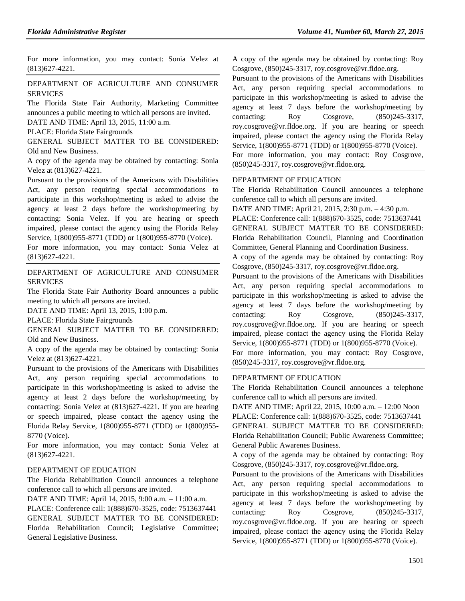For more information, you may contact: Sonia Velez at (813)627-4221.

### [DEPARTMENT OF AGRICULTURE AND CONSUMER](https://www.flrules.org/gateway/department.asp?id=5)  [SERVICES](https://www.flrules.org/gateway/department.asp?id=5)

The Florida State Fair Authority, Marketing Committee announces a public meeting to which all persons are invited. DATE AND TIME: April 13, 2015, 11:00 a.m.

PLACE: Florida State Fairgrounds

GENERAL SUBJECT MATTER TO BE CONSIDERED: Old and New Business.

A copy of the agenda may be obtained by contacting: Sonia Velez at (813)627-4221.

Pursuant to the provisions of the Americans with Disabilities Act, any person requiring special accommodations to participate in this workshop/meeting is asked to advise the agency at least 2 days before the workshop/meeting by contacting: Sonia Velez. If you are hearing or speech impaired, please contact the agency using the Florida Relay Service, 1(800)955-8771 (TDD) or 1(800)955-8770 (Voice).

For more information, you may contact: Sonia Velez at (813)627-4221.

[DEPARTMENT OF AGRICULTURE AND CONSUMER](https://www.flrules.org/gateway/department.asp?id=5)  [SERVICES](https://www.flrules.org/gateway/department.asp?id=5)

The Florida State Fair Authority Board announces a public meeting to which all persons are invited.

DATE AND TIME: April 13, 2015, 1:00 p.m.

PLACE: Florida State Fairgrounds

GENERAL SUBJECT MATTER TO BE CONSIDERED: Old and New Business.

A copy of the agenda may be obtained by contacting: Sonia Velez at (813)627-4221.

Pursuant to the provisions of the Americans with Disabilities Act, any person requiring special accommodations to participate in this workshop/meeting is asked to advise the agency at least 2 days before the workshop/meeting by contacting: Sonia Velez at (813)627-4221. If you are hearing or speech impaired, please contact the agency using the Florida Relay Service, 1(800)955-8771 (TDD) or 1(800)955- 8770 (Voice).

For more information, you may contact: Sonia Velez at (813)627-4221.

#### [DEPARTMENT OF EDUCATION](https://www.flrules.org/gateway/department.asp?id=6)

The Florida Rehabilitation Council announces a telephone conference call to which all persons are invited.

DATE AND TIME: April 14, 2015, 9:00 a.m. – 11:00 a.m.

PLACE: Conference call: 1(888)670-3525, code: 7513637441 GENERAL SUBJECT MATTER TO BE CONSIDERED: Florida Rehabilitation Council; Legislative Committee; General Legislative Business.

A copy of the agenda may be obtained by contacting: Roy Cosgrove, (850)245-3317, [roy.cosgrove@vr.fldoe.org.](mailto:roy.cosgrove@vr.fldoe.org)

Pursuant to the provisions of the Americans with Disabilities Act, any person requiring special accommodations to participate in this workshop/meeting is asked to advise the agency at least 7 days before the workshop/meeting by contacting: Roy Cosgrove,  $(850)245-3317$ , [roy.cosgrove@vr.fldoe.org.](mailto:roy.cosgrove@vr.fldoe.org) If you are hearing or speech impaired, please contact the agency using the Florida Relay Service, 1(800)955-8771 (TDD) or 1(800)955-8770 (Voice).

For more information, you may contact: Roy Cosgrove, (850)245-3317, [roy.cosgrove@vr.fldoe.org.](mailto:roy.cosgrove@vr.fldoe.org)

#### [DEPARTMENT OF EDUCATION](https://www.flrules.org/gateway/department.asp?id=6)

The Florida Rehabilitation Council announces a telephone conference call to which all persons are invited.

DATE AND TIME: April 21, 2015, 2:30 p.m. – 4:30 p.m.

PLACE: Conference call: 1(888)670-3525, code: 7513637441 GENERAL SUBJECT MATTER TO BE CONSIDERED: Florida Rehabilitation Council, Planning and Coordination

Committee, General Planning and Coordination Business.

A copy of the agenda may be obtained by contacting: Roy Cosgrove, (850)245-3317, [roy.cosgrove@vr.fldoe.org.](mailto:roy.cosgrove@vr.fldoe.org)

Pursuant to the provisions of the Americans with Disabilities Act, any person requiring special accommodations to participate in this workshop/meeting is asked to advise the agency at least 7 days before the workshop/meeting by contacting: Roy Cosgrove, (850)245-3317, [roy.cosgrove@vr.fldoe.org.](mailto:roy.cosgrove@vr.fldoe.org) If you are hearing or speech impaired, please contact the agency using the Florida Relay Service, 1(800)955-8771 (TDD) or 1(800)955-8770 (Voice).

For more information, you may contact: Roy Cosgrove, (850)245-3317, [roy.cosgrove@vr.fldoe.org.](mailto:roy.cosgrove@vr.fldoe.org)

### [DEPARTMENT OF EDUCATION](https://www.flrules.org/gateway/department.asp?id=6)

The Florida Rehabilitation Council announces a telephone conference call to which all persons are invited.

DATE AND TIME: April 22, 2015, 10:00 a.m. – 12:00 Noon PLACE: Conference call: 1(888)670-3525, code: 7513637441 GENERAL SUBJECT MATTER TO BE CONSIDERED: Florida Rehabilitation Council; Public Awareness Committee; General Public Awarenes Business.

A copy of the agenda may be obtained by contacting: Roy Cosgrove, (850)245-3317, [roy.cosgrove@vr.fldoe.org.](mailto:roy.cosgrove@vr.fldoe.org)

Pursuant to the provisions of the Americans with Disabilities Act, any person requiring special accommodations to participate in this workshop/meeting is asked to advise the agency at least 7 days before the workshop/meeting by contacting: Roy Cosgrove,  $(850)245-3317$ , [roy.cosgrove@vr.fldoe.org.](mailto:roy.cosgrove@vr.fldoe.org) If you are hearing or speech impaired, please contact the agency using the Florida Relay Service, 1(800)955-8771 (TDD) or 1(800)955-8770 (Voice).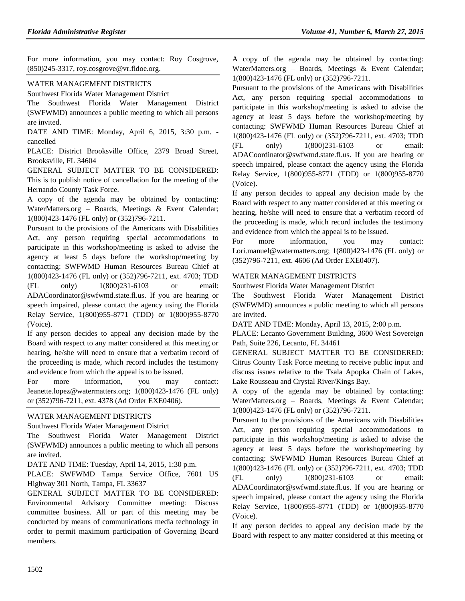For more information, you may contact: Roy Cosgrove, (850)245-3317, [roy.cosgrove@vr.fldoe.org.](mailto:roy.cosgrove@vr.fldoe.org)

### [WATER MANAGEMENT DISTRICTS](https://www.flrules.org/gateway/department.asp?id=40)

[Southwest Florida Water Management District](https://www.flrules.org/gateway/organization.asp?id=123)

The Southwest Florida Water Management District (SWFWMD) announces a public meeting to which all persons are invited.

DATE AND TIME: Monday, April 6, 2015, 3:30 p.m. cancelled

PLACE: District Brooksville Office, 2379 Broad Street, Brooksville, FL 34604

GENERAL SUBJECT MATTER TO BE CONSIDERED: This is to publish notice of cancellation for the meeting of the Hernando County Task Force.

A copy of the agenda may be obtained by contacting: WaterMatters.org – Boards, Meetings & Event Calendar; 1(800)423-1476 (FL only) or (352)796-7211.

Pursuant to the provisions of the Americans with Disabilities Act, any person requiring special accommodations to participate in this workshop/meeting is asked to advise the agency at least 5 days before the workshop/meeting by contacting: SWFWMD Human Resources Bureau Chief at 1(800)423-1476 (FL only) or (352)796-7211, ext. 4703; TDD (FL only) 1(800)231-6103 or email: [ADACoordinator@swfwmd.state.fl.us.](mailto:ADACoordinator@swfwmd.state.fl.us) If you are hearing or speech impaired, please contact the agency using the Florida Relay Service, 1(800)955-8771 (TDD) or 1(800)955-8770 (Voice).

If any person decides to appeal any decision made by the Board with respect to any matter considered at this meeting or hearing, he/she will need to ensure that a verbatim record of the proceeding is made, which record includes the testimony and evidence from which the appeal is to be issued.

For more information, you may contact: [Jeanette.lopez@watermatters.org;](mailto:Jeanette.lopez@watermatters.org) 1(800)423-1476 (FL only) or (352)796-7211, ext. 4378 (Ad Order EXE0406).

## [WATER MANAGEMENT DISTRICTS](https://www.flrules.org/gateway/department.asp?id=40)

[Southwest Florida Water Management District](https://www.flrules.org/gateway/organization.asp?id=123)

The Southwest Florida Water Management District (SWFWMD) announces a public meeting to which all persons are invited.

DATE AND TIME: Tuesday, April 14, 2015, 1:30 p.m.

PLACE: SWFWMD Tampa Service Office, 7601 US Highway 301 North, Tampa, FL 33637

GENERAL SUBJECT MATTER TO BE CONSIDERED: Environmental Advisory Committee meeting: Discuss committee business. All or part of this meeting may be conducted by means of communications media technology in order to permit maximum participation of Governing Board members.

A copy of the agenda may be obtained by contacting: WaterMatters.org – Boards, Meetings & Event Calendar; 1(800)423-1476 (FL only) or (352)796-7211.

Pursuant to the provisions of the Americans with Disabilities Act, any person requiring special accommodations to participate in this workshop/meeting is asked to advise the agency at least 5 days before the workshop/meeting by contacting: SWFWMD Human Resources Bureau Chief at 1(800)423-1476 (FL only) or (352)796-7211, ext. 4703; TDD (FL only) 1(800)231-6103 or email: [ADACoordinator@swfwmd.state.fl.us.](mailto:ADACoordinator@swfwmd.state.fl.us) If you are hearing or speech impaired, please contact the agency using the Florida Relay Service, 1(800)955-8771 (TDD) or 1(800)955-8770 (Voice).

If any person decides to appeal any decision made by the Board with respect to any matter considered at this meeting or hearing, he/she will need to ensure that a verbatim record of the proceeding is made, which record includes the testimony and evidence from which the appeal is to be issued.

For more information, you may contact: [Lori.manuel@watermatters.org;](mailto:Lori.manuel@watermatters.org) 1(800)423-1476 (FL only) or (352)796-7211, ext. 4606 (Ad Order EXE0407).

## [WATER MANAGEMENT DISTRICTS](https://www.flrules.org/gateway/department.asp?id=40)

[Southwest Florida Water Management District](https://www.flrules.org/gateway/organization.asp?id=123)

The Southwest Florida Water Management District (SWFWMD) announces a public meeting to which all persons are invited.

DATE AND TIME: Monday, April 13, 2015, 2:00 p.m.

PLACE: Lecanto Government Building, 3600 West Sovereign Path, Suite 226, Lecanto, FL 34461

GENERAL SUBJECT MATTER TO BE CONSIDERED: Citrus County Task Force meeting to receive public input and discuss issues relative to the Tsala Apopka Chain of Lakes, Lake Rousseau and Crystal River/Kings Bay.

A copy of the agenda may be obtained by contacting: WaterMatters.org – Boards, Meetings & Event Calendar; 1(800)423-1476 (FL only) or (352)796-7211.

Pursuant to the provisions of the Americans with Disabilities Act, any person requiring special accommodations to participate in this workshop/meeting is asked to advise the agency at least 5 days before the workshop/meeting by contacting: SWFWMD Human Resources Bureau Chief at 1(800)423-1476 (FL only) or (352)796-7211, ext. 4703; TDD (FL only) 1(800)231-6103 or email: [ADACoordinator@swfwmd.state.fl.us.](mailto:ADACoordinator@swfwmd.state.fl.us) If you are hearing or speech impaired, please contact the agency using the Florida Relay Service, 1(800)955-8771 (TDD) or 1(800)955-8770 (Voice).

If any person decides to appeal any decision made by the Board with respect to any matter considered at this meeting or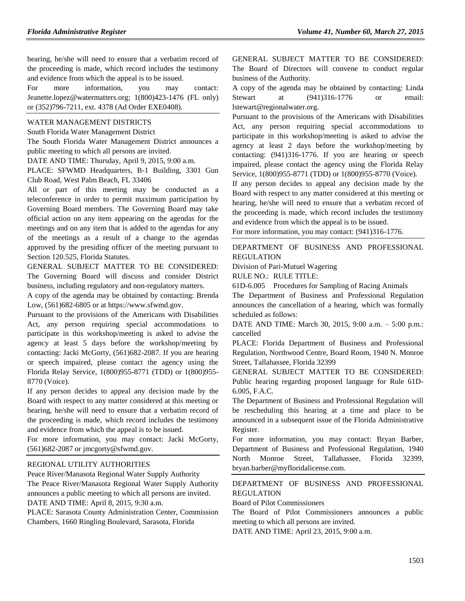hearing, he/she will need to ensure that a verbatim record of the proceeding is made, which record includes the testimony and evidence from which the appeal is to be issued.

For more information, you may contact: [Jeanette.lopez@watermatters.org;](mailto:Jeanette.lopez@watermatters.org) 1(800)423-1476 (FL only) or (352)796-7211, ext. 4378 (Ad Order EXE0408).

#### [WATER MANAGEMENT DISTRICTS](https://www.flrules.org/gateway/department.asp?id=40)

[South Florida Water Management District](https://www.flrules.org/gateway/organization.asp?id=124)

The South Florida Water Management District announces a public meeting to which all persons are invited.

DATE AND TIME: Thursday, April 9, 2015, 9:00 a.m.

PLACE: SFWMD Headquarters, B-1 Building, 3301 Gun Club Road, West Palm Beach, FL 33406

All or part of this meeting may be conducted as a teleconference in order to permit maximum participation by Governing Board members. The Governing Board may take official action on any item appearing on the agendas for the meetings and on any item that is added to the agendas for any of the meetings as a result of a change to the agendas approved by the presiding officer of the meeting pursuant to Section 120.525, Florida Statutes.

GENERAL SUBJECT MATTER TO BE CONSIDERED: The Governing Board will discuss and consider District business, including regulatory and non-regulatory matters.

A copy of the agenda may be obtained by contacting: Brenda Low, (561)682-6805 or at [https://www.sfwmd.gov.](https://www.sfwmd.gov/)

Pursuant to the provisions of the Americans with Disabilities Act, any person requiring special accommodations to participate in this workshop/meeting is asked to advise the agency at least 5 days before the workshop/meeting by contacting: Jacki McGorty, (561)682-2087. If you are hearing or speech impaired, please contact the agency using the Florida Relay Service, 1(800)955-8771 (TDD) or 1(800)955- 8770 (Voice).

If any person decides to appeal any decision made by the Board with respect to any matter considered at this meeting or hearing, he/she will need to ensure that a verbatim record of the proceeding is made, which record includes the testimony and evidence from which the appeal is to be issued.

For more information, you may contact: Jacki McGorty, (561)682-2087 or [jmcgorty@sfwmd.gov.](mailto:jmcgorty@sfwmd.gov)

#### [REGIONAL UTILITY AUTHORITIES](https://www.flrules.org/gateway/department.asp?id=49)

[Peace River/Manasota Regional Water Supply Authority](https://www.flrules.org/gateway/organization.asp?id=160) The Peace River/Manasota Regional Water Supply Authority announces a public meeting to which all persons are invited. DATE AND TIME: April 8, 2015, 9:30 a.m.

PLACE: Sarasota County Administration Center, Commission Chambers, 1660 Ringling Boulevard, Sarasota, Florida

GENERAL SUBJECT MATTER TO BE CONSIDERED: The Board of Directors will convene to conduct regular business of the Authority.

A copy of the agenda may be obtained by contacting: Linda Stewart at (941)316-1776 or email: [lstewart@regionalwater.org.](mailto:lstewart@regionalwater.org)

Pursuant to the provisions of the Americans with Disabilities Act, any person requiring special accommodations to participate in this workshop/meeting is asked to advise the agency at least 2 days before the workshop/meeting by contacting: (941)316-1776. If you are hearing or speech impaired, please contact the agency using the Florida Relay Service, 1(800)955-8771 (TDD) or 1(800)955-8770 (Voice).

If any person decides to appeal any decision made by the Board with respect to any matter considered at this meeting or hearing, he/she will need to ensure that a verbatim record of the proceeding is made, which record includes the testimony and evidence from which the appeal is to be issued.

For more information, you may contact: (941)316-1776.

[DEPARTMENT OF BUSINESS AND PROFESSIONAL](https://www.flrules.org/gateway/department.asp?id=61)  [REGULATION](https://www.flrules.org/gateway/department.asp?id=61)

[Division of Pari-Mutuel Wagering](https://www.flrules.org/gateway/organization.asp?id=250)

RULE NO.: RULE TITLE:

[61D-6.005](https://www.flrules.org/gateway/ruleNo.asp?id=61D-6.005) Procedures for Sampling of Racing Animals

The Department of Business and Professional Regulation announces the cancellation of a hearing, which was formally scheduled as follows:

DATE AND TIME: March 30, 2015, 9:00 a.m. – 5:00 p.m.: cancelled

PLACE: Florida Department of Business and Professional Regulation, Northwood Centre, Board Room, 1940 N. Monroe Street, Tallahassee, Florida 32399

GENERAL SUBJECT MATTER TO BE CONSIDERED: Public hearing regarding proposed language for Rule 61D-6.005, F.A.C.

The Department of Business and Professional Regulation will be rescheduling this hearing at a time and place to be announced in a subsequent issue of the Florida Administrative Register.

For more information, you may contact: Bryan Barber, Department of Business and Professional Regulation, 1940 North Monroe Street, Tallahassee, Florida 32399, [bryan.barber@myfloridalicense.com.](mailto:bryan.barber@myfloridalicense.com)

## [DEPARTMENT OF BUSINESS AND PROFESSIONAL](https://www.flrules.org/gateway/department.asp?id=61)  [REGULATION](https://www.flrules.org/gateway/department.asp?id=61)

[Board of Pilot Commissioners](https://www.flrules.org/gateway/organization.asp?id=266)

The Board of Pilot Commissioners announces a public meeting to which all persons are invited.

DATE AND TIME: April 23, 2015, 9:00 a.m.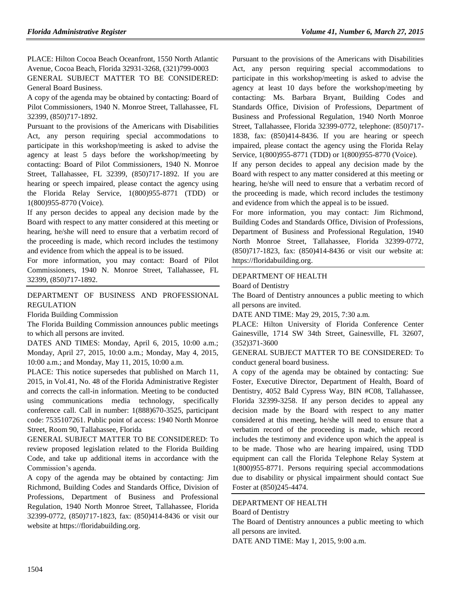PLACE: Hilton Cocoa Beach Oceanfront, 1550 North Atlantic Avenue, Cocoa Beach, Florida 32931-3268, (321)799-0003 GENERAL SUBJECT MATTER TO BE CONSIDERED: General Board Business.

A copy of the agenda may be obtained by contacting: Board of Pilot Commissioners, 1940 N. Monroe Street, Tallahassee, FL 32399, (850)717-1892.

Pursuant to the provisions of the Americans with Disabilities Act, any person requiring special accommodations to participate in this workshop/meeting is asked to advise the agency at least 5 days before the workshop/meeting by contacting: Board of Pilot Commissioners, 1940 N. Monroe Street, Tallahassee, FL 32399, (850)717-1892. If you are hearing or speech impaired, please contact the agency using the Florida Relay Service, 1(800)955-8771 (TDD) or 1(800)955-8770 (Voice).

If any person decides to appeal any decision made by the Board with respect to any matter considered at this meeting or hearing, he/she will need to ensure that a verbatim record of the proceeding is made, which record includes the testimony and evidence from which the appeal is to be issued.

For more information, you may contact: Board of Pilot Commissioners, 1940 N. Monroe Street, Tallahassee, FL 32399, (850)717-1892.

### [DEPARTMENT OF BUSINESS AND PROFESSIONAL](https://www.flrules.org/gateway/department.asp?id=61)  [REGULATION](https://www.flrules.org/gateway/department.asp?id=61)

[Florida Building Commission](https://www.flrules.org/gateway/organization.asp?id=1071)

The Florida Building Commission announces public meetings to which all persons are invited.

DATES AND TIMES: Monday, April 6, 2015, 10:00 a.m.; Monday, April 27, 2015, 10:00 a.m.; Monday, May 4, 2015, 10:00 a.m.; and Monday, May 11, 2015, 10:00 a.m.

PLACE: This notice supersedes that published on March 11, 2015, in Vol.41, No. 48 of the Florida Administrative Register and corrects the call-in information. Meeting to be conducted using communications media technology, specifically conference call. Call in number: 1(888)670-3525, participant code: 7535107261. Public point of access: 1940 North Monroe Street, Room 90, Tallahassee, Florida

GENERAL SUBJECT MATTER TO BE CONSIDERED: To review proposed legislation related to the Florida Building Code, and take up additional items in accordance with the Commission's agenda.

A copy of the agenda may be obtained by contacting: Jim Richmond, Building Codes and Standards Office, Division of Professions, Department of Business and Professional Regulation, 1940 North Monroe Street, Tallahassee, Florida 32399-0772, (850)717-1823, fax: (850)414-8436 or visit our website at [https://floridabuilding.org.](https://floridabuilding.org/)

Pursuant to the provisions of the Americans with Disabilities Act, any person requiring special accommodations to participate in this workshop/meeting is asked to advise the agency at least 10 days before the workshop/meeting by contacting: Ms. Barbara Bryant, Building Codes and Standards Office, Division of Professions, Department of Business and Professional Regulation, 1940 North Monroe Street, Tallahassee, Florida 32399-0772, telephone: (850)717- 1838, fax: (850)414-8436. If you are hearing or speech impaired, please contact the agency using the Florida Relay Service, 1(800)955-8771 (TDD) or 1(800)955-8770 (Voice).

If any person decides to appeal any decision made by the Board with respect to any matter considered at this meeting or hearing, he/she will need to ensure that a verbatim record of the proceeding is made, which record includes the testimony and evidence from which the appeal is to be issued.

For more information, you may contact: Jim Richmond, Building Codes and Standards Office, Division of Professions, Department of Business and Professional Regulation, 1940 North Monroe Street, Tallahassee, Florida 32399-0772, (850)717-1823, fax: (850)414-8436 or visit our website at: [https://floridabuilding.org.](https://floridabuilding.org/)

#### [DEPARTMENT OF HEALTH](https://www.flrules.org/gateway/department.asp?id=64) [Board of Dentistry](https://www.flrules.org/gateway/organization.asp?id=328)

The Board of Dentistry announces a public meeting to which all persons are invited.

DATE AND TIME: May 29, 2015, 7:30 a.m.

PLACE: Hilton University of Florida Conference Center Gainesville, 1714 SW 34th Street, Gainesville, FL 32607, (352)371-3600

GENERAL SUBJECT MATTER TO BE CONSIDERED: To conduct general board business.

A copy of the agenda may be obtained by contacting: Sue Foster, Executive Director, Department of Health, Board of Dentistry, 4052 Bald Cypress Way, BIN #C08, Tallahassee, Florida 32399-3258. If any person decides to appeal any decision made by the Board with respect to any matter considered at this meeting, he/she will need to ensure that a verbatim record of the proceeding is made, which record includes the testimony and evidence upon which the appeal is to be made. Those who are hearing impaired, using TDD equipment can call the Florida Telephone Relay System at 1(800)955-8771. Persons requiring special accommodations due to disability or physical impairment should contact Sue Foster at (850)245-4474.

#### [DEPARTMENT OF HEALTH](https://www.flrules.org/gateway/department.asp?id=64)

#### [Board of Dentistry](https://www.flrules.org/gateway/organization.asp?id=328)

The Board of Dentistry announces a public meeting to which all persons are invited.

DATE AND TIME: May 1, 2015, 9:00 a.m.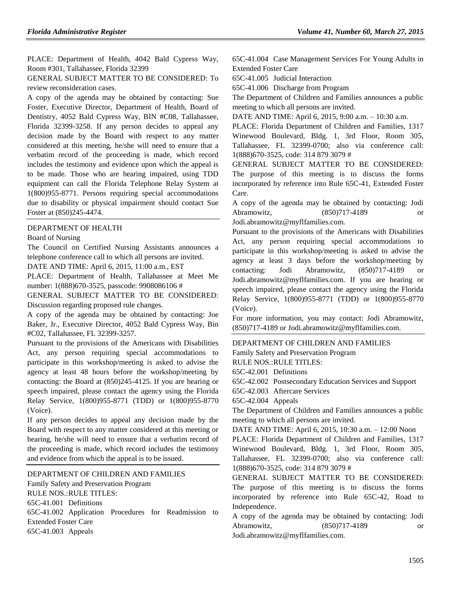PLACE: Department of Health, 4042 Bald Cypress Way, Room #301, Tallahassee, Florida 32399

GENERAL SUBJECT MATTER TO BE CONSIDERED: To review reconsideration cases.

A copy of the agenda may be obtained by contacting: Sue Foster, Executive Director, Department of Health, Board of Dentistry, 4052 Bald Cypress Way, BIN #C08, Tallahassee, Florida 32399-3258. If any person decides to appeal any decision made by the Board with respect to any matter considered at this meeting, he/she will need to ensure that a verbatim record of the proceeding is made, which record includes the testimony and evidence upon which the appeal is to be made. Those who are hearing impaired, using TDD equipment can call the Florida Telephone Relay System at 1(800)955-8771. Persons requiring special accommodations due to disability or physical impairment should contact Sue Foster at (850)245-4474.

#### [DEPARTMENT OF HEALTH](https://www.flrules.org/gateway/department.asp?id=64)

#### [Board of Nursing](https://www.flrules.org/gateway/organization.asp?id=332)

The Council on Certified Nursing Assistants announces a telephone conference call to which all persons are invited.

DATE AND TIME: April 6, 2015, 11:00 a.m., EST

PLACE: Department of Health, Tallahassee at Meet Me number: 1(888)670-3525, passcode: 9908086106 #

GENERAL SUBJECT MATTER TO BE CONSIDERED: Discussion regarding proposed rule changes.

A copy of the agenda may be obtained by contacting: Joe Baker, Jr., Executive Director, 4052 Bald Cypress Way, Bin #C02, Tallahassee, FL 32399-3257.

Pursuant to the provisions of the Americans with Disabilities Act, any person requiring special accommodations to participate in this workshop/meeting is asked to advise the agency at least 48 hours before the workshop/meeting by contacting: the Board at (850)245-4125. If you are hearing or speech impaired, please contact the agency using the Florida Relay Service, 1(800)955-8771 (TDD) or 1(800)955-8770 (Voice).

If any person decides to appeal any decision made by the Board with respect to any matter considered at this meeting or hearing, he/she will need to ensure that a verbatim record of the proceeding is made, which record includes the testimony and evidence from which the appeal is to be issued.

[DEPARTMENT OF CHILDREN AND FAMILIES](https://www.flrules.org/gateway/department.asp?id=65)

[Family Safety and Preservation Program](https://www.flrules.org/gateway/organization.asp?id=342)

RULE NOS.:RULE TITLES:

[65C-41.001](https://www.flrules.org/gateway/ruleNo.asp?id=65C-41.001) Definitions

[65C-41.002](https://www.flrules.org/gateway/ruleNo.asp?id=65C-41.002) Application Procedures for Readmission to Extended Foster Care [65C-41.003](https://www.flrules.org/gateway/ruleNo.asp?id=65C-41.003) Appeals

[65C-41.004](https://www.flrules.org/gateway/ruleNo.asp?id=65C-41.004) Case Management Services For Young Adults in Extended Foster Care

[65C-41.005](https://www.flrules.org/gateway/ruleNo.asp?id=65C-41.005) Judicial Interaction

[65C-41.006](https://www.flrules.org/gateway/ruleNo.asp?id=65C-41.006) Discharge from Program

The Department of Children and Families announces a public meeting to which all persons are invited.

DATE AND TIME: April 6, 2015, 9:00 a.m. – 10:30 a.m.

PLACE: Florida Department of Children and Families, 1317 Winewood Boulevard, Bldg. 1, 3rd Floor, Room 305, Tallahassee, FL 32399-0700; also via conference call: 1(888)670-3525, code: 314 879 3079 #

GENERAL SUBJECT MATTER TO BE CONSIDERED: The purpose of this meeting is to discuss the forms incorporated by reference into Rule 65C-41, Extended Foster Care.

A copy of the agenda may be obtained by contacting: Jodi Abramowitz, (850)717-4189 or

[Jodi.abramowitz@myflfamilies.com.](mailto:Jodi.abramowitz@myflfamilies.com)

Pursuant to the provisions of the Americans with Disabilities Act, any person requiring special accommodations to participate in this workshop/meeting is asked to advise the agency at least 3 days before the workshop/meeting by contacting: Jodi Abramowitz, (850)717-4189 or [Jodi.abramowitz@myflfamilies.com.](mailto:Jodi.abramowitz@myflfamilies.com) If you are hearing or speech impaired, please contact the agency using the Florida Relay Service, 1(800)955-8771 (TDD) or 1(800)955-8770 (Voice).

For more information, you may contact: Jodi Abramowitz, (850)717-4189 or [Jodi.abramowitz@myflfamilies.com.](mailto:Jodi.abramowitz@myflfamilies.com)

### [DEPARTMENT OF CHILDREN AND FAMILIES](https://www.flrules.org/gateway/department.asp?id=65)

[Family Safety and Preservation Program](https://www.flrules.org/gateway/organization.asp?id=342)

RULE NOS.:RULE TITLES:

[65C-42.001](https://www.flrules.org/gateway/ruleNo.asp?id=65C-42.001) Definitions

[65C-42.002](https://www.flrules.org/gateway/ruleNo.asp?id=65C-42.002) Postsecondary Education Services and Support

[65C-42.003](https://www.flrules.org/gateway/ruleNo.asp?id=65C-42.003) Aftercare Services

[65C-42.004](https://www.flrules.org/gateway/ruleNo.asp?id=65C-42.004) Appeals

The Department of Children and Families announces a public meeting to which all persons are invited.

DATE AND TIME: April 6, 2015, 10:30 a.m. – 12:00 Noon

PLACE: Florida Department of Children and Families, 1317 Winewood Boulevard, Bldg. 1, 3rd Floor, Room 305, Tallahassee, FL 32399-0700; also via conference call: 1(888)670-3525, code: 314 879 3079 #

GENERAL SUBJECT MATTER TO BE CONSIDERED: The purpose of this meeting is to discuss the forms incorporated by reference into Rule 65C-42, Road to Independence.

A copy of the agenda may be obtained by contacting: Jodi Abramowitz, (850)717-4189 or [Jodi.abramowitz@myflfamilies.com.](mailto:Jodi.abramowitz@myflfamilies.com)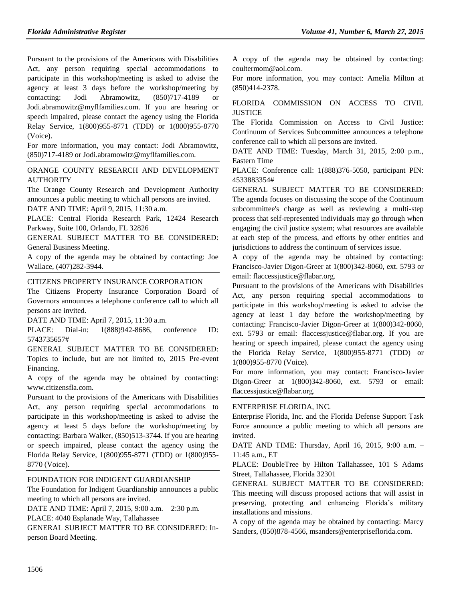Pursuant to the provisions of the Americans with Disabilities Act, any person requiring special accommodations to participate in this workshop/meeting is asked to advise the agency at least 3 days before the workshop/meeting by contacting: Jodi Abramowitz, (850)717-4189 or [Jodi.abramowitz@myflfamilies.com.](mailto:Jodi.abramowitz@myflfamilies.com) If you are hearing or speech impaired, please contact the agency using the Florida Relay Service, 1(800)955-8771 (TDD) or 1(800)955-8770 (Voice).

For more information, you may contact: Jodi Abramowitz, (850)717-4189 or [Jodi.abramowitz@myflfamilies.com.](mailto:Jodi.abramowitz@myflfamilies.com)

[ORANGE COUNTY RESEARCH AND DEVELOPMENT](https://www.flrules.org/gateway/organization.asp?id=582)  [AUTHORITY](https://www.flrules.org/gateway/organization.asp?id=582)

The Orange County Research and Development Authority announces a public meeting to which all persons are invited. DATE AND TIME: April 9, 2015, 11:30 a.m.

PLACE: Central Florida Research Park, 12424 Research Parkway, Suite 100, Orlando, FL 32826

GENERAL SUBJECT MATTER TO BE CONSIDERED: General Business Meeting.

A copy of the agenda may be obtained by contacting: Joe Wallace, (407)282-3944.

#### [CITIZENS PROPERTY INSURANCE CORPORATION](https://www.flrules.org/gateway/organization.asp?id=591)

The Citizens Property Insurance Corporation Board of Governors announces a telephone conference call to which all persons are invited.

DATE AND TIME: April 7, 2015, 11:30 a.m.

PLACE: Dial-in: 1(888)942-8686, conference ID: 5743735657#

GENERAL SUBJECT MATTER TO BE CONSIDERED: Topics to include, but are not limited to, 2015 Pre-event Financing.

A copy of the agenda may be obtained by contacting: [www.citizensfla.com.](http://www.citizensfla.com/)

Pursuant to the provisions of the Americans with Disabilities Act, any person requiring special accommodations to participate in this workshop/meeting is asked to advise the agency at least 5 days before the workshop/meeting by contacting: Barbara Walker, (850)513-3744. If you are hearing or speech impaired, please contact the agency using the Florida Relay Service, 1(800)955-8771 (TDD) or 1(800)955- 8770 (Voice).

### [FOUNDATION FOR INDIGENT GUARDIANSHIP](https://www.flrules.org/gateway/organization.asp?id=1200)

The Foundation for Indigent Guardianship announces a public meeting to which all persons are invited.

DATE AND TIME: April 7, 2015, 9:00 a.m. – 2:30 p.m.

PLACE: 4040 Esplanade Way, Tallahassee

GENERAL SUBJECT MATTER TO BE CONSIDERED: Inperson Board Meeting.

A copy of the agenda may be obtained by contacting: [coultermom@aol.com.](mailto:coultermom@aol.com)

For more information, you may contact: Amelia Milton at (850)414-2378.

### [FLORIDA COMMISSION ON ACCESS TO CIVIL](https://www.flrules.org/gateway/organization.asp?id=1196)  **[JUSTICE](https://www.flrules.org/gateway/organization.asp?id=1196)**

The Florida Commission on Access to Civil Justice: Continuum of Services Subcommittee announces a telephone conference call to which all persons are invited.

DATE AND TIME: Tuesday, March 31, 2015, 2:00 p.m., Eastern Time

PLACE: Conference call: 1(888)376-5050, participant PIN: 4533883354#

GENERAL SUBJECT MATTER TO BE CONSIDERED: The agenda focuses on discussing the scope of the Continuum subcommittee's charge as well as reviewing a multi-step process that self-represented individuals may go through when engaging the civil justice system; what resources are available at each step of the process, and efforts by other entities and jurisdictions to address the continuum of services issue.

A copy of the agenda may be obtained by contacting: Francisco-Javier Digon-Greer at 1(800)342-8060, ext. 5793 or email: [flaccessjustice@flabar.org.](mailto:flaccessjustice@flabar.org)

Pursuant to the provisions of the Americans with Disabilities Act, any person requiring special accommodations to participate in this workshop/meeting is asked to advise the agency at least 1 day before the workshop/meeting by contacting: Francisco-Javier Digon-Greer at 1(800)342-8060, ext. 5793 or email: [flaccessjustice@flabar.org.](mailto:flaccessjustice@flabar.org) If you are hearing or speech impaired, please contact the agency using the Florida Relay Service, 1(800)955-8771 (TDD) or 1(800)955-8770 (Voice).

For more information, you may contact: Francisco-Javier Digon-Greer at 1(800)342-8060, ext. 5793 or email: [flaccessjustice@flabar.org.](mailto:flaccessjustice@flabar.org)

#### [ENTERPRISE FLORIDA, INC.](https://www.flrules.org/gateway/organization.asp?id=680)

Enterprise Florida, Inc. and the Florida Defense Support Task Force announce a public meeting to which all persons are invited.

DATE AND TIME: Thursday, April 16, 2015, 9:00 a.m. – 11:45 a.m., ET

PLACE: DoubleTree by Hilton Tallahassee, 101 S Adams Street, Tallahassee, Florida 32301

GENERAL SUBJECT MATTER TO BE CONSIDERED: This meeting will discuss proposed actions that will assist in preserving, protecting and enhancing Florida's military installations and missions.

A copy of the agenda may be obtained by contacting: Marcy Sanders, (850)878-4566[, msanders@enterpriseflorida.com.](mailto:msanders@enterpriseflorida.com)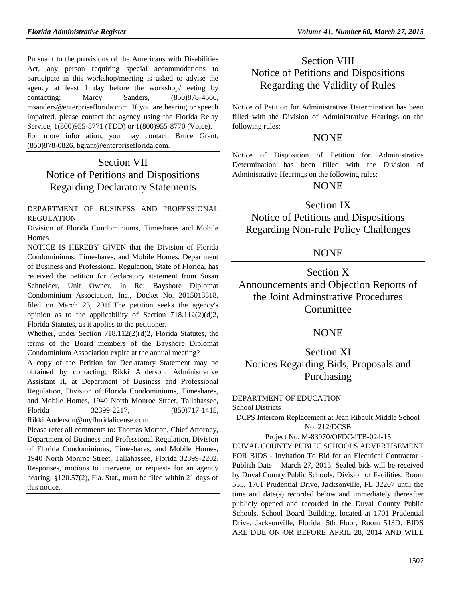Pursuant to the provisions of the Americans with Disabilities Act, any person requiring special accommodations to participate in this workshop/meeting is asked to advise the agency at least 1 day before the workshop/meeting by contacting: Marcy Sanders, (850)878-4566, [msanders@enterpriseflorida.com.](mailto:msanders@enterpriseflorida.com) If you are hearing or speech impaired, please contact the agency using the Florida Relay Service, 1(800)955-8771 (TDD) or 1(800)955-8770 (Voice). For more information, you may contact: Bruce Grant, (850)878-0826, [bgrant@enterpriseflorida.com.](mailto:bgrant@enterpriseflorida.com)

# Section VII Notice of Petitions and Dispositions Regarding Declaratory Statements

#### [DEPARTMENT OF BUSINESS AND PROFESSIONAL](https://www.flrules.org/gateway/department.asp?id=61)  [REGULATION](https://www.flrules.org/gateway/department.asp?id=61)

[Division of Florida Condominiums, Timeshares and Mobile](https://www.flrules.org/gateway/organization.asp?id=248)  [Homes](https://www.flrules.org/gateway/organization.asp?id=248)

NOTICE IS HEREBY GIVEN that the Division of Florida Condominiums, Timeshares, and Mobile Homes, Department of Business and Professional Regulation, State of Florida, has received the petition for declaratory statement from Susan Schneider, Unit Owner, In Re: Bayshore Diplomat Condominium Association, Inc., Docket No. 2015013518, filed on March 23, 2015.The petition seeks the agency's opinion as to the applicability of Section  $718.112(2)(d)2$ , Florida Statutes, as it applies to the petitioner.

Whether, under Section 718.112(2)(d)2, Florida Statutes, the terms of the Board members of the Bayshore Diplomat Condominium Association expire at the annual meeting?

A copy of the Petition for Declaratory Statement may be obtained by contacting: Rikki Anderson, Administrative Assistant II, at Department of Business and Professional Regulation, Division of Florida Condominiums, Timeshares, and Mobile Homes, 1940 North Monroe Street, Tallahassee, Florida 32399-2217, (850)717-1415, [Rikki.Anderson@myfloridalicense.com.](mailto:Rikki.Anderson@myfloridalicense.com)

Please refer all comments to: Thomas Morton, Chief Attorney, Department of Business and Professional Regulation, Division of Florida Condominiums, Timeshares, and Mobile Homes, 1940 North Monroe Street, Tallahassee, Florida 32399-2202. Responses, motions to intervene, or requests for an agency hearing, §120.57(2), Fla. Stat., must be filed within 21 days of this notice.

# Section VIII Notice of Petitions and Dispositions Regarding the Validity of Rules

Notice of Petition for Administrative Determination has been filled with the Division of Administrative Hearings on the following rules:

## **NONE**

Notice of Disposition of Petition for Administrative Determination has been filled with the Division of Administrative Hearings on the following rules:

## NONE

## Section IX

Notice of Petitions and Dispositions Regarding Non-rule Policy Challenges

## NONE

Section X Announcements and Objection Reports of the Joint Adminstrative Procedures **Committee** 

## NONE

# Section XI Notices Regarding Bids, Proposals and Purchasing

## [DEPARTMENT OF EDUCATION](https://www.flrules.org/gateway/department.asp?id=6)

[School Districts](https://www.flrules.org/gateway/organization.asp?id=211)

DCPS Intercom Replacement at Jean Ribault Middle School No. 212/DCSB

#### Project No. M-83970/OFDC-ITB-024-15

DUVAL COUNTY PUBLIC SCHOOLS ADVERTISEMENT FOR BIDS - Invitation To Bid for an Electrical Contractor - Publish Date – March 27, 2015. Sealed bids will be received by Duval County Public Schools, Division of Facilities, Room 535, 1701 Prudential Drive, Jacksonville, FL 32207 until the time and date(s) recorded below and immediately thereafter publicly opened and recorded in the Duval County Public Schools, School Board Building, located at 1701 Prudential Drive, Jacksonville, Florida, 5th Floor, Room 513D. BIDS ARE DUE ON OR BEFORE APRIL 28, 2014 AND WILL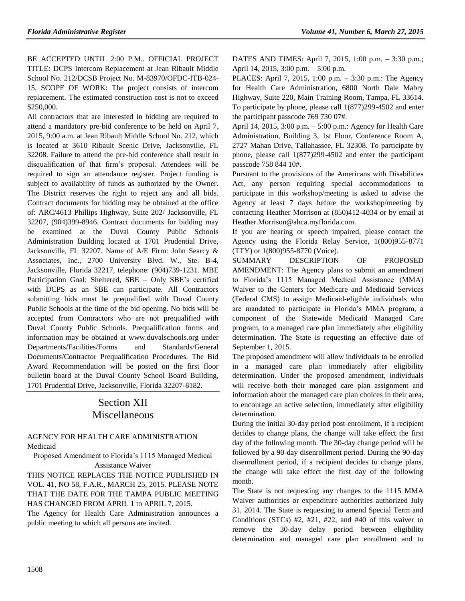BE ACCEPTED UNTIL 2:00 P.M.. OFFICIAL PROJECT TITLE: DCPS Intercom Replacement at Jean Ribault Middle School No. 212/DCSB Project No. M-83970/OFDC-ITB-024- 15. SCOPE OF WORK: The project consists of intercom replacement. The estimated construction cost is not to exceed \$250,000.

All contractors that are interested in bidding are required to attend a mandatory pre-bid conference to be held on April 7, 2015, 9:00 a.m. at Jean Ribault Middle School No. 212, which is located at 3610 Ribault Scenic Drive, Jacksonville, FL 32208. Failure to attend the pre-bid conference shall result in disqualification of that firm's proposal. Attendees will be required to sign an attendance register. Project funding is subject to availability of funds as authorized by the Owner. The District reserves the right to reject any and all bids. Contract documents for bidding may be obtained at the office of: ARC/4613 Phillips Highway, Suite 202/ Jacksonville, FL 32207, (904)399-8946. Contract documents for bidding may be examined at the Duval County Public Schools Administration Building located at 1701 Prudential Drive, Jacksonville, FL 32207. Name of A/E Firm: John Searcy & Associates, Inc., 2700 University Blvd. W., Ste. B-4, Jacksonville, Florida 32217, telephone: (904)739-1231. MBE Participation Goal: Sheltered, SBE – Only SBE's certified with DCPS as an SBE can participate. All Contractors submitting bids must be prequalified with Duval County Public Schools at the time of the bid opening. No bids will be accepted from Contractors who are not prequalified with Duval County Public Schools. Prequalification forms and information may be obtained at [www.duvalschools.org](http://www.duvalschools.org/) under Departments/Facilities/Forms and Standards/General Documents/Contractor Prequalification Procedures. The Bid Award Recommendation will be posted on the first floor bulletin board at the Duval County School Board Building, 1701 Prudential Drive, Jacksonville, Florida 32207-8182.

# Section XII Miscellaneous

### [AGENCY FOR HEALTH CARE ADMINISTRATION](https://www.flrules.org/gateway/department.asp?id=59) [Medicaid](https://www.flrules.org/gateway/organization.asp?id=192)

Proposed Amendment to Florida's 1115 Managed Medical Assistance Waiver

THIS NOTICE REPLACES THE NOTICE PUBLISHED IN VOL. 41, NO 58, F.A.R., MARCH 25, 2015. PLEASE NOTE THAT THE DATE FOR THE TAMPA PUBLIC MEETING HAS CHANGED FROM APRIL 1 to APRIL 7, 2015.

The Agency for Health Care Administration announces a public meeting to which all persons are invited.

DATES AND TIMES: April 7, 2015, 1:00 p.m. – 3:30 p.m.; April 14, 2015, 3:00 p.m. – 5:00 p.m.

PLACES: April 7, 2015, 1:00 p.m. – 3:30 p.m.: The Agency for Health Care Administration, 6800 North Dale Mabry Highway, Suite 220, Main Training Room, Tampa, FL 33614. To participate by phone, please call 1(877)299-4502 and enter the participant passcode 769 730 07#.

April 14, 2015, 3:00 p.m. – 5:00 p.m.: Agency for Health Care Administration, Building 3, 1st Floor, Conference Room A, 2727 Mahan Drive, Tallahassee, FL 32308. To participate by phone, please call 1(877)299-4502 and enter the participant passcode 758 844 10#.

Pursuant to the provisions of the Americans with Disabilities Act, any person requiring special accommodations to participate in this workshop/meeting is asked to advise the Agency at least 7 days before the workshop/meeting by contacting Heather Morrison at (850)412-4034 or by email at [Heather.Morrison@ahca.myflorida.com.](mailto:Heather.Morrison@ahca.myflorida.com)

If you are hearing or speech impaired, please contact the Agency using the Florida Relay Service, 1(800)955-8771 (TTY) or 1(800)955-8770 (Voice).

SUMMARY DESCRIPTION OF PROPOSED AMENDMENT: The Agency plans to submit an amendment to Florida's 1115 Managed Medical Assistance (MMA) Waiver to the Centers for Medicare and Medicaid Services (Federal CMS) to assign Medicaid-eligible individuals who are mandated to participate in Florida's MMA program, a component of the Statewide Medicaid Managed Care program, to a managed care plan immediately after eligibility determination. The State is requesting an effective date of September 1, 2015.

The proposed amendment will allow individuals to be enrolled in a managed care plan immediately after eligibility determination. Under the proposed amendment, individuals will receive both their managed care plan assignment and information about the managed care plan choices in their area, to encourage an active selection, immediately after eligibility determination.

During the initial 30-day period post-enrollment, if a recipient decides to change plans, the change will take effect the first day of the following month. The 30-day change period will be followed by a 90-day disenrollment period. During the 90-day disenrollment period, if a recipient decides to change plans, the change will take effect the first day of the following month.

The State is not requesting any changes to the 1115 MMA Waiver authorities or expenditure authorities authorized July 31, 2014. The State is requesting to amend Special Term and Conditions (STCs) #2, #21, #22, and #40 of this waiver to remove the 30-day delay period between eligibility determination and managed care plan enrollment and to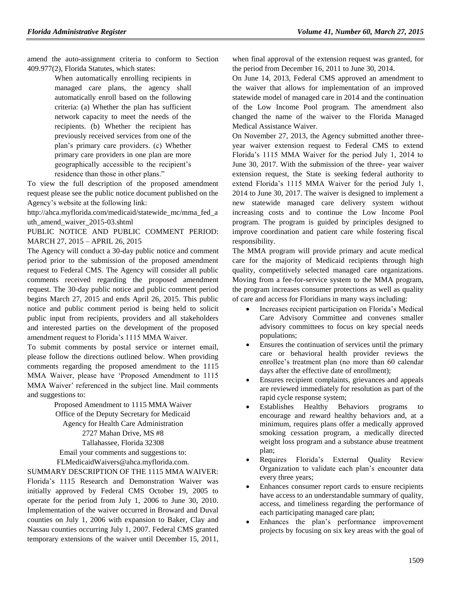amend the auto-assignment criteria to conform to Section 409.977(2), Florida Statutes, which states:

> When automatically enrolling recipients in managed care plans, the agency shall automatically enroll based on the following criteria: (a) Whether the plan has sufficient network capacity to meet the needs of the recipients. (b) Whether the recipient has previously received services from one of the plan's primary care providers. (c) Whether primary care providers in one plan are more geographically accessible to the recipient's residence than those in other plans."

To view the full description of the proposed amendment request please see the public notice document published on the Agency's website at the following link:

[http://ahca.myflorida.com/medicaid/statewide\\_mc/mma\\_fed\\_a](http://ahca.myflorida.com/medicaid/statewide_mc/mma_fed_auth_amend_waiver_2015-03.shtml) [uth\\_amend\\_waiver\\_2015-03.shtml](http://ahca.myflorida.com/medicaid/statewide_mc/mma_fed_auth_amend_waiver_2015-03.shtml)

PUBLIC NOTICE AND PUBLIC COMMENT PERIOD: MARCH 27, 2015 – APRIL 26, 2015

The Agency will conduct a 30-day public notice and comment period prior to the submission of the proposed amendment request to Federal CMS. The Agency will consider all public comments received regarding the proposed amendment request. The 30-day public notice and public comment period begins March 27, 2015 and ends April 26, 2015. This public notice and public comment period is being held to solicit public input from recipients, providers and all stakeholders and interested parties on the development of the proposed amendment request to Florida's 1115 MMA Waiver.

To submit comments by postal service or internet email, please follow the directions outlined below. When providing comments regarding the proposed amendment to the 1115 MMA Waiver, please have 'Proposed Amendment to 1115 MMA Waiver' referenced in the subject line. Mail comments and suggestions to:

> Proposed Amendment to 1115 MMA Waiver Office of the Deputy Secretary for Medicaid Agency for Health Care Administration 2727 Mahan Drive, MS #8 Tallahassee, Florida 32308 Email your comments and suggestions to:

[FLMedicaidWaivers@ahca.myflorida.com.](mailto:FLMedicaidWaivers@ahca.myflorida.com)

SUMMARY DESCRIPTION OF THE 1115 MMA WAIVER: Florida's 1115 Research and Demonstration Waiver was initially approved by Federal CMS October 19, 2005 to operate for the period from July 1, 2006 to June 30, 2010. Implementation of the waiver occurred in Broward and Duval counties on July 1, 2006 with expansion to Baker, Clay and Nassau counties occurring July 1, 2007. Federal CMS granted temporary extensions of the waiver until December 15, 2011, when final approval of the extension request was granted, for the period from December 16, 2011 to June 30, 2014.

On June 14, 2013, Federal CMS approved an amendment to the waiver that allows for implementation of an improved statewide model of managed care in 2014 and the continuation of the Low Income Pool program. The amendment also changed the name of the waiver to the Florida Managed Medical Assistance Waiver.

On November 27, 2013, the Agency submitted another threeyear waiver extension request to Federal CMS to extend Florida's 1115 MMA Waiver for the period July 1, 2014 to June 30, 2017. With the submission of the three- year waiver extension request, the State is seeking federal authority to extend Florida's 1115 MMA Waiver for the period July 1, 2014 to June 30, 2017. The waiver is designed to implement a new statewide managed care delivery system without increasing costs and to continue the Low Income Pool program. The program is guided by principles designed to improve coordination and patient care while fostering fiscal responsibility.

The MMA program will provide primary and acute medical care for the majority of Medicaid recipients through high quality, competitively selected managed care organizations. Moving from a fee-for-service system to the MMA program, the program increases consumer protections as well as quality of care and access for Floridians in many ways including:

- Increases recipient participation on Florida's Medical Care Advisory Committee and convenes smaller advisory committees to focus on key special needs populations;
- Ensures the continuation of services until the primary care or behavioral health provider reviews the enrollee's treatment plan (no more than 60 calendar days after the effective date of enrollment);
- Ensures recipient complaints, grievances and appeals are reviewed immediately for resolution as part of the rapid cycle response system;
- Establishes Healthy Behaviors programs to encourage and reward healthy behaviors and, at a minimum, requires plans offer a medically approved smoking cessation program, a medically directed weight loss program and a substance abuse treatment plan;
- Requires Florida's External Quality Review Organization to validate each plan's encounter data every three years;
- Enhances consumer report cards to ensure recipients have access to an understandable summary of quality, access, and timeliness regarding the performance of each participating managed care plan;
- Enhances the plan's performance improvement projects by focusing on six key areas with the goal of